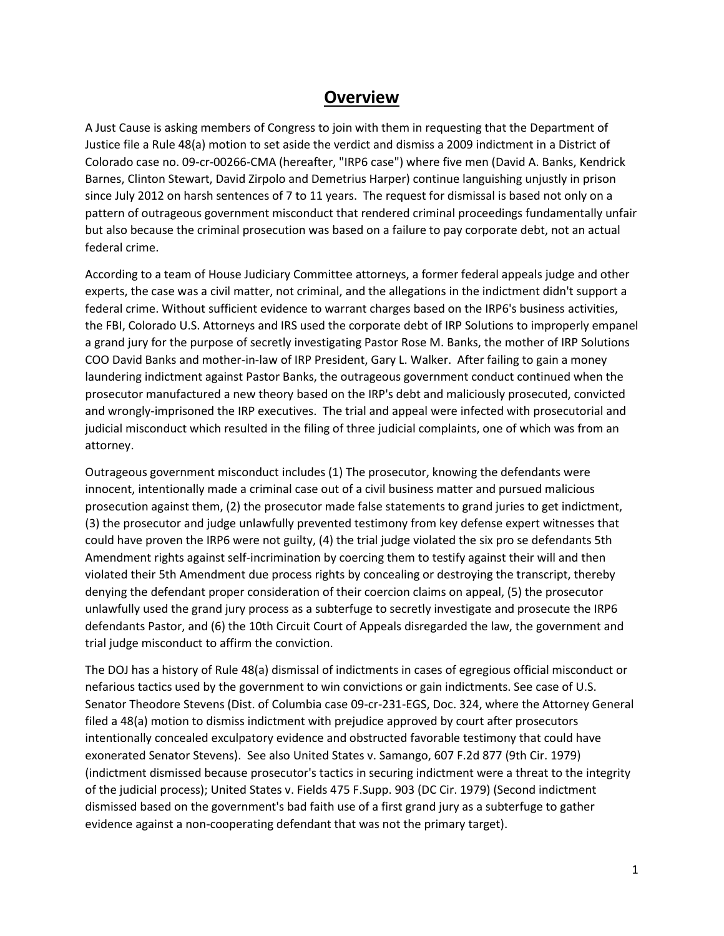## **Overview**

A Just Cause is asking members of Congress to join with them in requesting that the Department of Justice file a Rule 48(a) motion to set aside the verdict and dismiss a 2009 indictment in a District of Colorado case no. 09-cr-00266-CMA (hereafter, "IRP6 case") where five men (David A. Banks, Kendrick Barnes, Clinton Stewart, David Zirpolo and Demetrius Harper) continue languishing unjustly in prison since July 2012 on harsh sentences of 7 to 11 years. The request for dismissal is based not only on a pattern of outrageous government misconduct that rendered criminal proceedings fundamentally unfair but also because the criminal prosecution was based on a failure to pay corporate debt, not an actual federal crime.

According to a team of House Judiciary Committee attorneys, a former federal appeals judge and other experts, the case was a civil matter, not criminal, and the allegations in the indictment didn't support a federal crime. Without sufficient evidence to warrant charges based on the IRP6's business activities, the FBI, Colorado U.S. Attorneys and IRS used the corporate debt of IRP Solutions to improperly empanel a grand jury for the purpose of secretly investigating Pastor Rose M. Banks, the mother of IRP Solutions COO David Banks and mother-in-law of IRP President, Gary L. Walker. After failing to gain a money laundering indictment against Pastor Banks, the outrageous government conduct continued when the prosecutor manufactured a new theory based on the IRP's debt and maliciously prosecuted, convicted and wrongly-imprisoned the IRP executives. The trial and appeal were infected with prosecutorial and judicial misconduct which resulted in the filing of three judicial complaints, one of which was from an attorney.

Outrageous government misconduct includes (1) The prosecutor, knowing the defendants were innocent, intentionally made a criminal case out of a civil business matter and pursued malicious prosecution against them, (2) the prosecutor made false statements to grand juries to get indictment, (3) the prosecutor and judge unlawfully prevented testimony from key defense expert witnesses that could have proven the IRP6 were not guilty, (4) the trial judge violated the six pro se defendants 5th Amendment rights against self-incrimination by coercing them to testify against their will and then violated their 5th Amendment due process rights by concealing or destroying the transcript, thereby denying the defendant proper consideration of their coercion claims on appeal, (5) the prosecutor unlawfully used the grand jury process as a subterfuge to secretly investigate and prosecute the IRP6 defendants Pastor, and (6) the 10th Circuit Court of Appeals disregarded the law, the government and trial judge misconduct to affirm the conviction.

The DOJ has a history of Rule 48(a) dismissal of indictments in cases of egregious official misconduct or nefarious tactics used by the government to win convictions or gain indictments. See case of U.S. Senator Theodore Stevens (Dist. of Columbia case 09-cr-231-EGS, Doc. 324, where the Attorney General filed a 48(a) motion to dismiss indictment with prejudice approved by court after prosecutors intentionally concealed exculpatory evidence and obstructed favorable testimony that could have exonerated Senator Stevens). See also United States v. Samango, 607 F.2d 877 (9th Cir. 1979) (indictment dismissed because prosecutor's tactics in securing indictment were a threat to the integrity of the judicial process); United States v. Fields 475 F.Supp. 903 (DC Cir. 1979) (Second indictment dismissed based on the government's bad faith use of a first grand jury as a subterfuge to gather evidence against a non-cooperating defendant that was not the primary target).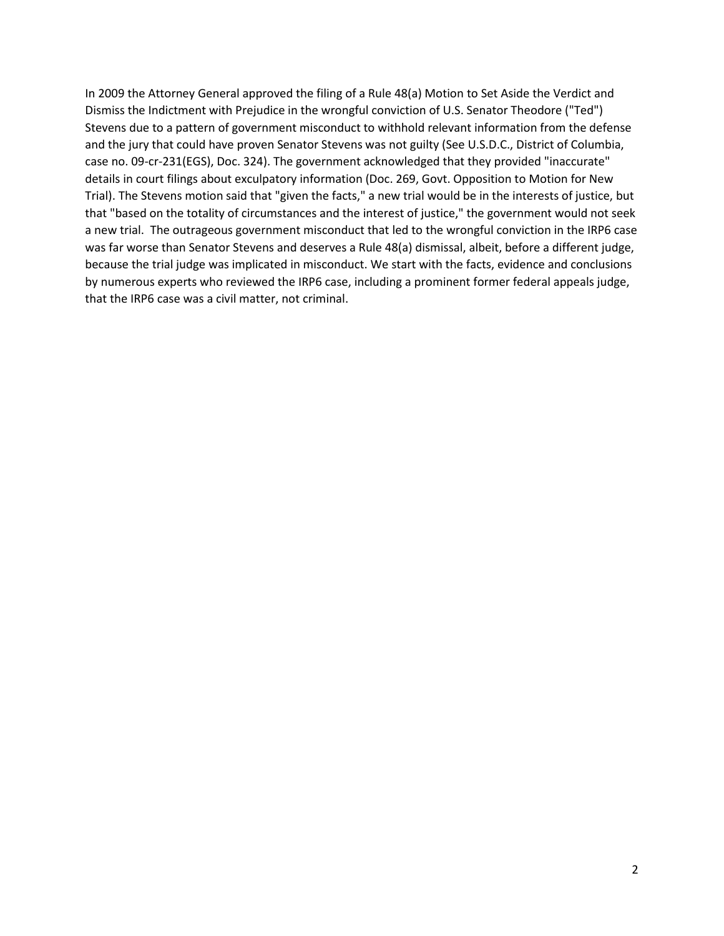In 2009 the Attorney General approved the filing of a Rule 48(a) Motion to Set Aside the Verdict and Dismiss the Indictment with Prejudice in the wrongful conviction of U.S. Senator Theodore ("Ted") Stevens due to a pattern of government misconduct to withhold relevant information from the defense and the jury that could have proven Senator Stevens was not guilty (See U.S.D.C., District of Columbia, case no. 09-cr-231(EGS), Doc. 324). The government acknowledged that they provided "inaccurate" details in court filings about exculpatory information (Doc. 269, Govt. Opposition to Motion for New Trial). The Stevens motion said that "given the facts," a new trial would be in the interests of justice, but that "based on the totality of circumstances and the interest of justice," the government would not seek a new trial. The outrageous government misconduct that led to the wrongful conviction in the IRP6 case was far worse than Senator Stevens and deserves a Rule 48(a) dismissal, albeit, before a different judge, because the trial judge was implicated in misconduct. We start with the facts, evidence and conclusions by numerous experts who reviewed the IRP6 case, including a prominent former federal appeals judge, that the IRP6 case was a civil matter, not criminal.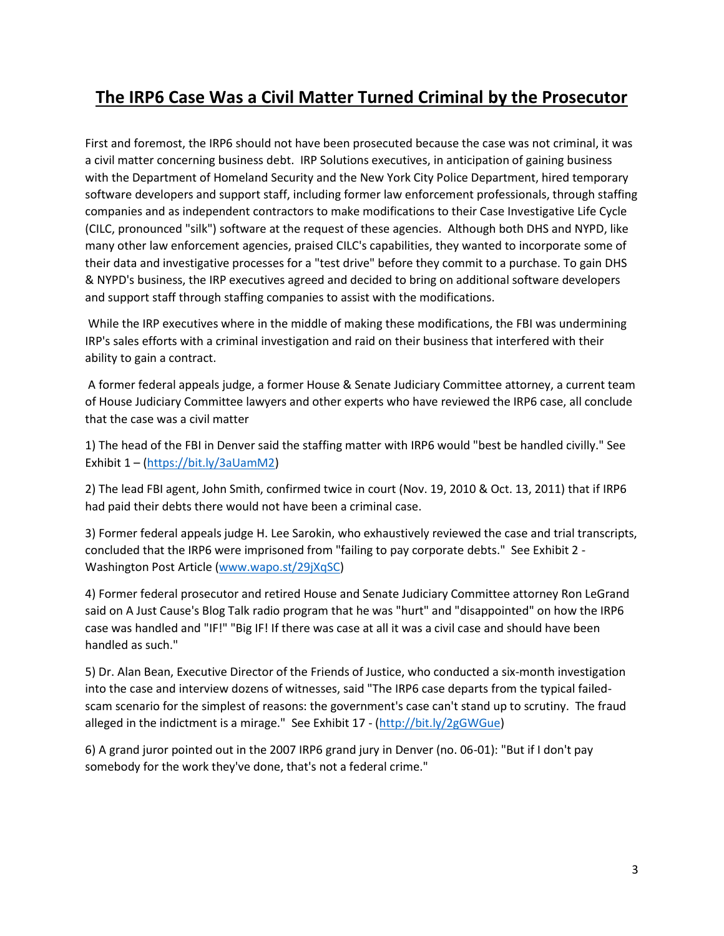## **The IRP6 Case Was a Civil Matter Turned Criminal by the Prosecutor**

First and foremost, the IRP6 should not have been prosecuted because the case was not criminal, it was a civil matter concerning business debt. IRP Solutions executives, in anticipation of gaining business with the Department of Homeland Security and the New York City Police Department, hired temporary software developers and support staff, including former law enforcement professionals, through staffing companies and as independent contractors to make modifications to their Case Investigative Life Cycle (CILC, pronounced "silk") software at the request of these agencies. Although both DHS and NYPD, like many other law enforcement agencies, praised CILC's capabilities, they wanted to incorporate some of their data and investigative processes for a "test drive" before they commit to a purchase. To gain DHS & NYPD's business, the IRP executives agreed and decided to bring on additional software developers and support staff through staffing companies to assist with the modifications.

While the IRP executives where in the middle of making these modifications, the FBI was undermining IRP's sales efforts with a criminal investigation and raid on their business that interfered with their ability to gain a contract.

A former federal appeals judge, a former House & Senate Judiciary Committee attorney, a current team of House Judiciary Committee lawyers and other experts who have reviewed the IRP6 case, all conclude that the case was a civil matter

1) The head of the FBI in Denver said the staffing matter with IRP6 would "best be handled civilly." See Exhibit 1 – [\(https://bit.ly/3aUamM2\)](https://bit.ly/3aUamM2)

2) The lead FBI agent, John Smith, confirmed twice in court (Nov. 19, 2010 & Oct. 13, 2011) that if IRP6 had paid their debts there would not have been a criminal case.

3) Former federal appeals judge H. Lee Sarokin, who exhaustively reviewed the case and trial transcripts, concluded that the IRP6 were imprisoned from "failing to pay corporate debts." See Exhibit 2 - Washington Post Article [\(www.wapo.st/29jXqSC\)](http://www.wapo.st/29jXqSC)

4) Former federal prosecutor and retired House and Senate Judiciary Committee attorney Ron LeGrand said on A Just Cause's Blog Talk radio program that he was "hurt" and "disappointed" on how the IRP6 case was handled and "IF!" "Big IF! If there was case at all it was a civil case and should have been handled as such."

5) Dr. Alan Bean, Executive Director of the Friends of Justice, who conducted a six-month investigation into the case and interview dozens of witnesses, said "The IRP6 case departs from the typical failedscam scenario for the simplest of reasons: the government's case can't stand up to scrutiny. The fraud alleged in the indictment is a mirage." See Exhibit 17 - [\(http://bit.ly/2gGWGue\)](http://bit.ly/2gGWGue)

6) A grand juror pointed out in the 2007 IRP6 grand jury in Denver (no. 06-01): "But if I don't pay somebody for the work they've done, that's not a federal crime."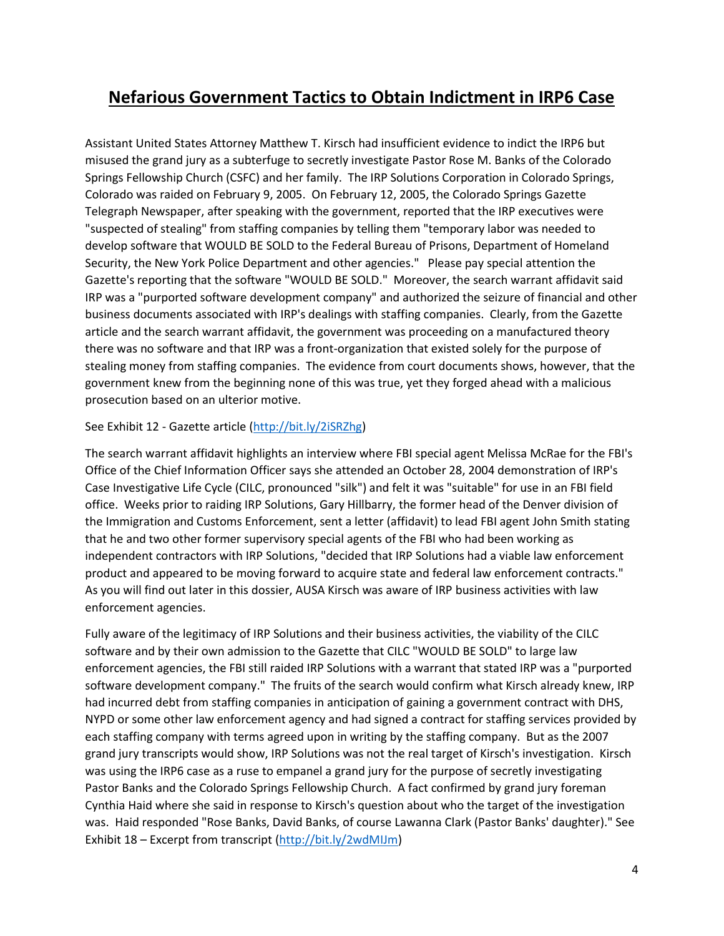## **Nefarious Government Tactics to Obtain Indictment in IRP6 Case**

Assistant United States Attorney Matthew T. Kirsch had insufficient evidence to indict the IRP6 but misused the grand jury as a subterfuge to secretly investigate Pastor Rose M. Banks of the Colorado Springs Fellowship Church (CSFC) and her family. The IRP Solutions Corporation in Colorado Springs, Colorado was raided on February 9, 2005. On February 12, 2005, the Colorado Springs Gazette Telegraph Newspaper, after speaking with the government, reported that the IRP executives were "suspected of stealing" from staffing companies by telling them "temporary labor was needed to develop software that WOULD BE SOLD to the Federal Bureau of Prisons, Department of Homeland Security, the New York Police Department and other agencies." Please pay special attention the Gazette's reporting that the software "WOULD BE SOLD." Moreover, the search warrant affidavit said IRP was a "purported software development company" and authorized the seizure of financial and other business documents associated with IRP's dealings with staffing companies. Clearly, from the Gazette article and the search warrant affidavit, the government was proceeding on a manufactured theory there was no software and that IRP was a front-organization that existed solely for the purpose of stealing money from staffing companies. The evidence from court documents shows, however, that the government knew from the beginning none of this was true, yet they forged ahead with a malicious prosecution based on an ulterior motive.

#### See Exhibit 12 - Gazette article [\(http://bit.ly/2iSRZhg\)](http://bit.ly/2iSRZhg)

The search warrant affidavit highlights an interview where FBI special agent Melissa McRae for the FBI's Office of the Chief Information Officer says she attended an October 28, 2004 demonstration of IRP's Case Investigative Life Cycle (CILC, pronounced "silk") and felt it was "suitable" for use in an FBI field office. Weeks prior to raiding IRP Solutions, Gary Hillbarry, the former head of the Denver division of the Immigration and Customs Enforcement, sent a letter (affidavit) to lead FBI agent John Smith stating that he and two other former supervisory special agents of the FBI who had been working as independent contractors with IRP Solutions, "decided that IRP Solutions had a viable law enforcement product and appeared to be moving forward to acquire state and federal law enforcement contracts." As you will find out later in this dossier, AUSA Kirsch was aware of IRP business activities with law enforcement agencies.

Fully aware of the legitimacy of IRP Solutions and their business activities, the viability of the CILC software and by their own admission to the Gazette that CILC "WOULD BE SOLD" to large law enforcement agencies, the FBI still raided IRP Solutions with a warrant that stated IRP was a "purported software development company." The fruits of the search would confirm what Kirsch already knew, IRP had incurred debt from staffing companies in anticipation of gaining a government contract with DHS, NYPD or some other law enforcement agency and had signed a contract for staffing services provided by each staffing company with terms agreed upon in writing by the staffing company. But as the 2007 grand jury transcripts would show, IRP Solutions was not the real target of Kirsch's investigation. Kirsch was using the IRP6 case as a ruse to empanel a grand jury for the purpose of secretly investigating Pastor Banks and the Colorado Springs Fellowship Church. A fact confirmed by grand jury foreman Cynthia Haid where she said in response to Kirsch's question about who the target of the investigation was. Haid responded "Rose Banks, David Banks, of course Lawanna Clark (Pastor Banks' daughter)." See Exhibit 18 – Excerpt from transcript [\(http://bit.ly/2wdMIJm\)](http://bit.ly/2wdMIJm)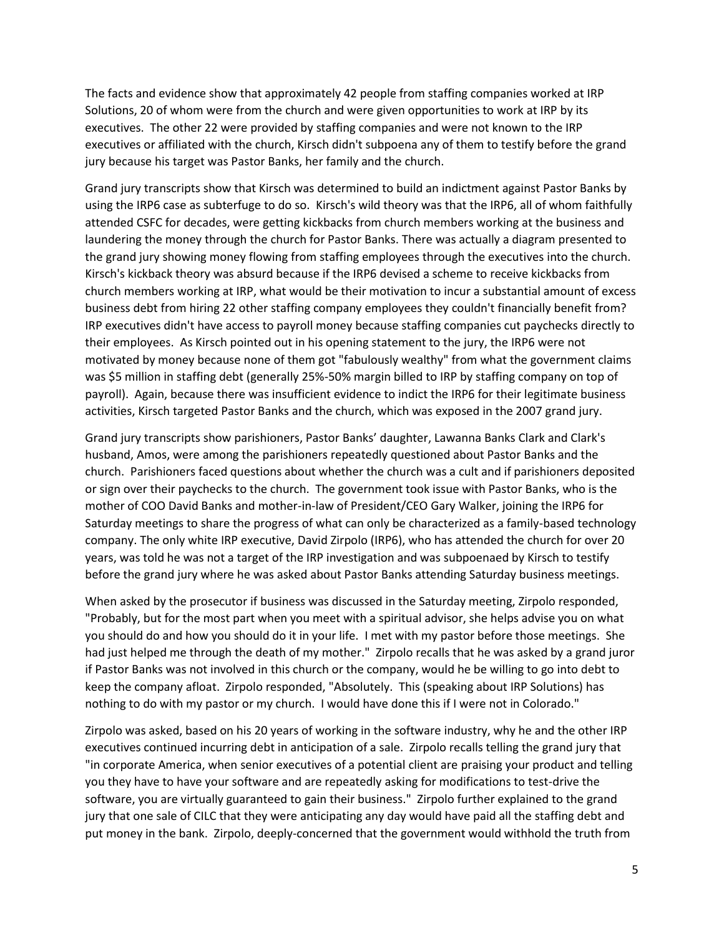The facts and evidence show that approximately 42 people from staffing companies worked at IRP Solutions, 20 of whom were from the church and were given opportunities to work at IRP by its executives. The other 22 were provided by staffing companies and were not known to the IRP executives or affiliated with the church, Kirsch didn't subpoena any of them to testify before the grand jury because his target was Pastor Banks, her family and the church.

Grand jury transcripts show that Kirsch was determined to build an indictment against Pastor Banks by using the IRP6 case as subterfuge to do so. Kirsch's wild theory was that the IRP6, all of whom faithfully attended CSFC for decades, were getting kickbacks from church members working at the business and laundering the money through the church for Pastor Banks. There was actually a diagram presented to the grand jury showing money flowing from staffing employees through the executives into the church. Kirsch's kickback theory was absurd because if the IRP6 devised a scheme to receive kickbacks from church members working at IRP, what would be their motivation to incur a substantial amount of excess business debt from hiring 22 other staffing company employees they couldn't financially benefit from? IRP executives didn't have access to payroll money because staffing companies cut paychecks directly to their employees. As Kirsch pointed out in his opening statement to the jury, the IRP6 were not motivated by money because none of them got "fabulously wealthy" from what the government claims was \$5 million in staffing debt (generally 25%-50% margin billed to IRP by staffing company on top of payroll). Again, because there was insufficient evidence to indict the IRP6 for their legitimate business activities, Kirsch targeted Pastor Banks and the church, which was exposed in the 2007 grand jury.

Grand jury transcripts show parishioners, Pastor Banks' daughter, Lawanna Banks Clark and Clark's husband, Amos, were among the parishioners repeatedly questioned about Pastor Banks and the church. Parishioners faced questions about whether the church was a cult and if parishioners deposited or sign over their paychecks to the church. The government took issue with Pastor Banks, who is the mother of COO David Banks and mother-in-law of President/CEO Gary Walker, joining the IRP6 for Saturday meetings to share the progress of what can only be characterized as a family-based technology company. The only white IRP executive, David Zirpolo (IRP6), who has attended the church for over 20 years, was told he was not a target of the IRP investigation and was subpoenaed by Kirsch to testify before the grand jury where he was asked about Pastor Banks attending Saturday business meetings.

When asked by the prosecutor if business was discussed in the Saturday meeting, Zirpolo responded, "Probably, but for the most part when you meet with a spiritual advisor, she helps advise you on what you should do and how you should do it in your life. I met with my pastor before those meetings. She had just helped me through the death of my mother." Zirpolo recalls that he was asked by a grand juror if Pastor Banks was not involved in this church or the company, would he be willing to go into debt to keep the company afloat. Zirpolo responded, "Absolutely. This (speaking about IRP Solutions) has nothing to do with my pastor or my church. I would have done this if I were not in Colorado."

Zirpolo was asked, based on his 20 years of working in the software industry, why he and the other IRP executives continued incurring debt in anticipation of a sale. Zirpolo recalls telling the grand jury that "in corporate America, when senior executives of a potential client are praising your product and telling you they have to have your software and are repeatedly asking for modifications to test-drive the software, you are virtually guaranteed to gain their business." Zirpolo further explained to the grand jury that one sale of CILC that they were anticipating any day would have paid all the staffing debt and put money in the bank. Zirpolo, deeply-concerned that the government would withhold the truth from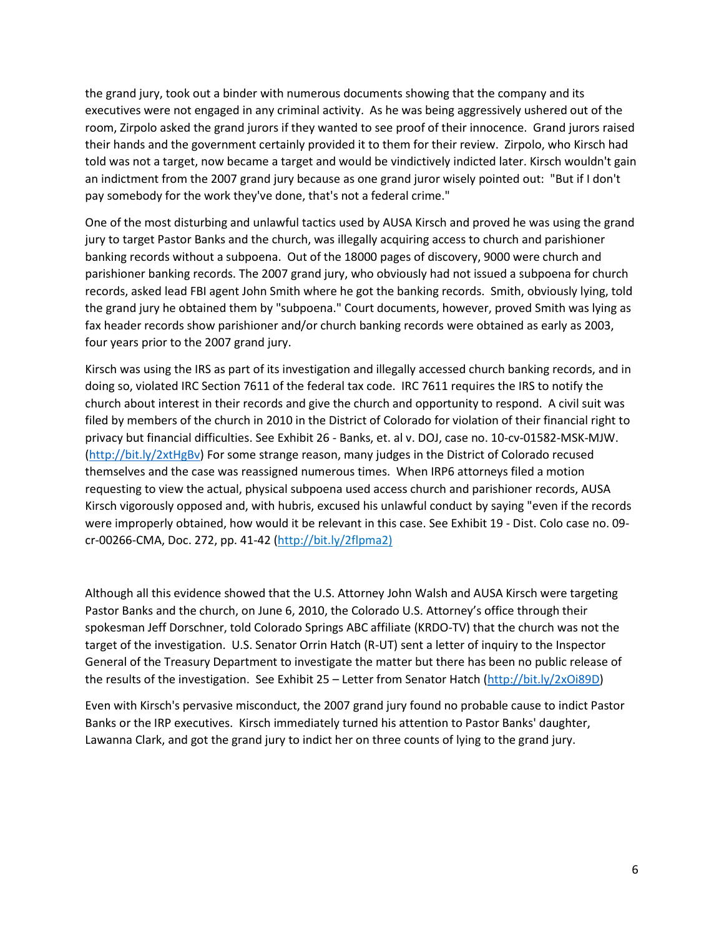the grand jury, took out a binder with numerous documents showing that the company and its executives were not engaged in any criminal activity. As he was being aggressively ushered out of the room, Zirpolo asked the grand jurors if they wanted to see proof of their innocence. Grand jurors raised their hands and the government certainly provided it to them for their review. Zirpolo, who Kirsch had told was not a target, now became a target and would be vindictively indicted later. Kirsch wouldn't gain an indictment from the 2007 grand jury because as one grand juror wisely pointed out: "But if I don't pay somebody for the work they've done, that's not a federal crime."

One of the most disturbing and unlawful tactics used by AUSA Kirsch and proved he was using the grand jury to target Pastor Banks and the church, was illegally acquiring access to church and parishioner banking records without a subpoena. Out of the 18000 pages of discovery, 9000 were church and parishioner banking records. The 2007 grand jury, who obviously had not issued a subpoena for church records, asked lead FBI agent John Smith where he got the banking records. Smith, obviously lying, told the grand jury he obtained them by "subpoena." Court documents, however, proved Smith was lying as fax header records show parishioner and/or church banking records were obtained as early as 2003, four years prior to the 2007 grand jury.

Kirsch was using the IRS as part of its investigation and illegally accessed church banking records, and in doing so, violated IRC Section 7611 of the federal tax code. IRC 7611 requires the IRS to notify the church about interest in their records and give the church and opportunity to respond. A civil suit was filed by members of the church in 2010 in the District of Colorado for violation of their financial right to privacy but financial difficulties. See Exhibit 26 - Banks, et. al v. DOJ, case no. 10-cv-01582-MSK-MJW. [\(http://bit.ly/2xtHgBv\)](http://bit.ly/2xtHgBv) For some strange reason, many judges in the District of Colorado recused themselves and the case was reassigned numerous times. When IRP6 attorneys filed a motion requesting to view the actual, physical subpoena used access church and parishioner records, AUSA Kirsch vigorously opposed and, with hubris, excused his unlawful conduct by saying "even if the records were improperly obtained, how would it be relevant in this case. See Exhibit 19 - Dist. Colo case no. 09 cr-00266-CMA, Doc. 272, pp. 41-42 [\(http://bit.ly/2flpma2\)](http://bit.ly/2flpma2)

Although all this evidence showed that the U.S. Attorney John Walsh and AUSA Kirsch were targeting Pastor Banks and the church, on June 6, 2010, the Colorado U.S. Attorney's office through their spokesman Jeff Dorschner, told Colorado Springs ABC affiliate (KRDO-TV) that the church was not the target of the investigation. U.S. Senator Orrin Hatch (R-UT) sent a letter of inquiry to the Inspector General of the Treasury Department to investigate the matter but there has been no public release of the results of the investigation. See Exhibit 25 – Letter from Senator Hatch [\(http://bit.ly/2xOi89D\)](http://bit.ly/2xOi89D)

Even with Kirsch's pervasive misconduct, the 2007 grand jury found no probable cause to indict Pastor Banks or the IRP executives. Kirsch immediately turned his attention to Pastor Banks' daughter, Lawanna Clark, and got the grand jury to indict her on three counts of lying to the grand jury.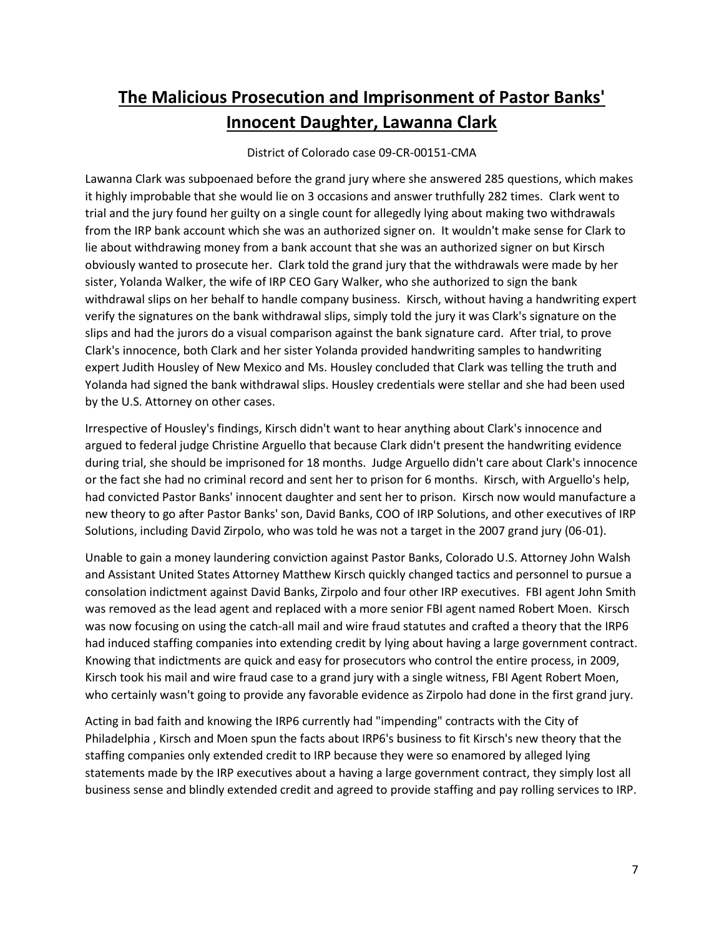# **The Malicious Prosecution and Imprisonment of Pastor Banks' Innocent Daughter, Lawanna Clark**

#### District of Colorado case 09-CR-00151-CMA

Lawanna Clark was subpoenaed before the grand jury where she answered 285 questions, which makes it highly improbable that she would lie on 3 occasions and answer truthfully 282 times. Clark went to trial and the jury found her guilty on a single count for allegedly lying about making two withdrawals from the IRP bank account which she was an authorized signer on. It wouldn't make sense for Clark to lie about withdrawing money from a bank account that she was an authorized signer on but Kirsch obviously wanted to prosecute her. Clark told the grand jury that the withdrawals were made by her sister, Yolanda Walker, the wife of IRP CEO Gary Walker, who she authorized to sign the bank withdrawal slips on her behalf to handle company business. Kirsch, without having a handwriting expert verify the signatures on the bank withdrawal slips, simply told the jury it was Clark's signature on the slips and had the jurors do a visual comparison against the bank signature card. After trial, to prove Clark's innocence, both Clark and her sister Yolanda provided handwriting samples to handwriting expert Judith Housley of New Mexico and Ms. Housley concluded that Clark was telling the truth and Yolanda had signed the bank withdrawal slips. Housley credentials were stellar and she had been used by the U.S. Attorney on other cases.

Irrespective of Housley's findings, Kirsch didn't want to hear anything about Clark's innocence and argued to federal judge Christine Arguello that because Clark didn't present the handwriting evidence during trial, she should be imprisoned for 18 months. Judge Arguello didn't care about Clark's innocence or the fact she had no criminal record and sent her to prison for 6 months. Kirsch, with Arguello's help, had convicted Pastor Banks' innocent daughter and sent her to prison. Kirsch now would manufacture a new theory to go after Pastor Banks' son, David Banks, COO of IRP Solutions, and other executives of IRP Solutions, including David Zirpolo, who was told he was not a target in the 2007 grand jury (06-01).

Unable to gain a money laundering conviction against Pastor Banks, Colorado U.S. Attorney John Walsh and Assistant United States Attorney Matthew Kirsch quickly changed tactics and personnel to pursue a consolation indictment against David Banks, Zirpolo and four other IRP executives. FBI agent John Smith was removed as the lead agent and replaced with a more senior FBI agent named Robert Moen. Kirsch was now focusing on using the catch-all mail and wire fraud statutes and crafted a theory that the IRP6 had induced staffing companies into extending credit by lying about having a large government contract. Knowing that indictments are quick and easy for prosecutors who control the entire process, in 2009, Kirsch took his mail and wire fraud case to a grand jury with a single witness, FBI Agent Robert Moen, who certainly wasn't going to provide any favorable evidence as Zirpolo had done in the first grand jury.

Acting in bad faith and knowing the IRP6 currently had "impending" contracts with the City of Philadelphia , Kirsch and Moen spun the facts about IRP6's business to fit Kirsch's new theory that the staffing companies only extended credit to IRP because they were so enamored by alleged lying statements made by the IRP executives about a having a large government contract, they simply lost all business sense and blindly extended credit and agreed to provide staffing and pay rolling services to IRP.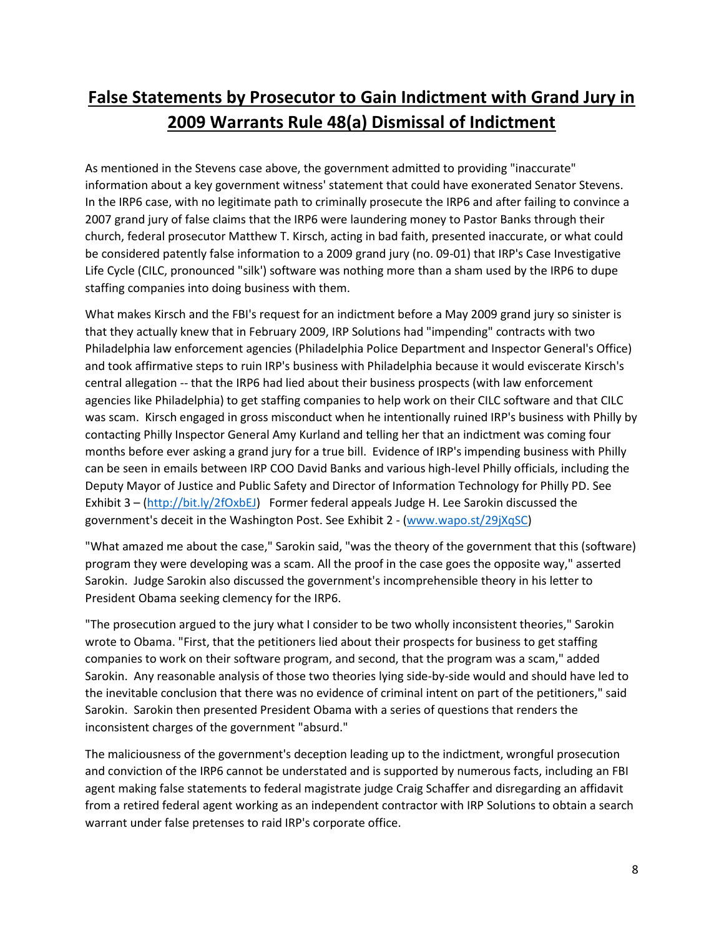# **False Statements by Prosecutor to Gain Indictment with Grand Jury in 2009 Warrants Rule 48(a) Dismissal of Indictment**

As mentioned in the Stevens case above, the government admitted to providing "inaccurate" information about a key government witness' statement that could have exonerated Senator Stevens. In the IRP6 case, with no legitimate path to criminally prosecute the IRP6 and after failing to convince a 2007 grand jury of false claims that the IRP6 were laundering money to Pastor Banks through their church, federal prosecutor Matthew T. Kirsch, acting in bad faith, presented inaccurate, or what could be considered patently false information to a 2009 grand jury (no. 09-01) that IRP's Case Investigative Life Cycle (CILC, pronounced "silk') software was nothing more than a sham used by the IRP6 to dupe staffing companies into doing business with them.

What makes Kirsch and the FBI's request for an indictment before a May 2009 grand jury so sinister is that they actually knew that in February 2009, IRP Solutions had "impending" contracts with two Philadelphia law enforcement agencies (Philadelphia Police Department and Inspector General's Office) and took affirmative steps to ruin IRP's business with Philadelphia because it would eviscerate Kirsch's central allegation -- that the IRP6 had lied about their business prospects (with law enforcement agencies like Philadelphia) to get staffing companies to help work on their CILC software and that CILC was scam. Kirsch engaged in gross misconduct when he intentionally ruined IRP's business with Philly by contacting Philly Inspector General Amy Kurland and telling her that an indictment was coming four months before ever asking a grand jury for a true bill. Evidence of IRP's impending business with Philly can be seen in emails between IRP COO David Banks and various high-level Philly officials, including the Deputy Mayor of Justice and Public Safety and Director of Information Technology for Philly PD. See Exhibit 3 – [\(http://bit.ly/2fOxbEJ\)](http://bit.ly/2fOxbEJ) Former federal appeals Judge H. Lee Sarokin discussed the government's deceit in the Washington Post. See Exhibit 2 - [\(www.wapo.st/29jXqSC\)](http://www.wapo.st/29jXqSC)

"What amazed me about the case," Sarokin said, "was the theory of the government that this (software) program they were developing was a scam. All the proof in the case goes the opposite way," asserted Sarokin. Judge Sarokin also discussed the government's incomprehensible theory in his letter to President Obama seeking clemency for the IRP6.

"The prosecution argued to the jury what I consider to be two wholly inconsistent theories," Sarokin wrote to Obama. "First, that the petitioners lied about their prospects for business to get staffing companies to work on their software program, and second, that the program was a scam," added Sarokin. Any reasonable analysis of those two theories lying side-by-side would and should have led to the inevitable conclusion that there was no evidence of criminal intent on part of the petitioners," said Sarokin. Sarokin then presented President Obama with a series of questions that renders the inconsistent charges of the government "absurd."

The maliciousness of the government's deception leading up to the indictment, wrongful prosecution and conviction of the IRP6 cannot be understated and is supported by numerous facts, including an FBI agent making false statements to federal magistrate judge Craig Schaffer and disregarding an affidavit from a retired federal agent working as an independent contractor with IRP Solutions to obtain a search warrant under false pretenses to raid IRP's corporate office.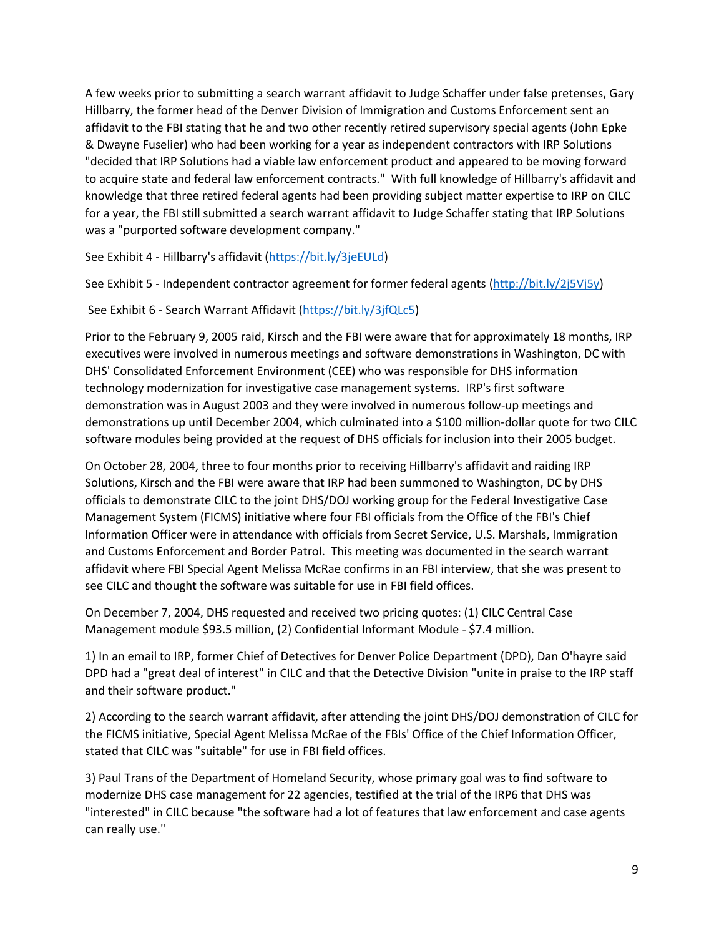A few weeks prior to submitting a search warrant affidavit to Judge Schaffer under false pretenses, Gary Hillbarry, the former head of the Denver Division of Immigration and Customs Enforcement sent an affidavit to the FBI stating that he and two other recently retired supervisory special agents (John Epke & Dwayne Fuselier) who had been working for a year as independent contractors with IRP Solutions "decided that IRP Solutions had a viable law enforcement product and appeared to be moving forward to acquire state and federal law enforcement contracts." With full knowledge of Hillbarry's affidavit and knowledge that three retired federal agents had been providing subject matter expertise to IRP on CILC for a year, the FBI still submitted a search warrant affidavit to Judge Schaffer stating that IRP Solutions was a "purported software development company."

See Exhibit 4 - Hillbarry's affidavit [\(https://bit.ly/3jeEULd\)](https://bit.ly/3jeEULd)

See Exhibit 5 - Independent contractor agreement for former federal agents [\(http://bit.ly/2j5Vj5y\)](http://bit.ly/2j5Vj5y)

See Exhibit 6 - Search Warrant Affidavit [\(https://bit.ly/3jfQLc5\)](https://bit.ly/3jfQLc5)

Prior to the February 9, 2005 raid, Kirsch and the FBI were aware that for approximately 18 months, IRP executives were involved in numerous meetings and software demonstrations in Washington, DC with DHS' Consolidated Enforcement Environment (CEE) who was responsible for DHS information technology modernization for investigative case management systems. IRP's first software demonstration was in August 2003 and they were involved in numerous follow-up meetings and demonstrations up until December 2004, which culminated into a \$100 million-dollar quote for two CILC software modules being provided at the request of DHS officials for inclusion into their 2005 budget.

On October 28, 2004, three to four months prior to receiving Hillbarry's affidavit and raiding IRP Solutions, Kirsch and the FBI were aware that IRP had been summoned to Washington, DC by DHS officials to demonstrate CILC to the joint DHS/DOJ working group for the Federal Investigative Case Management System (FICMS) initiative where four FBI officials from the Office of the FBI's Chief Information Officer were in attendance with officials from Secret Service, U.S. Marshals, Immigration and Customs Enforcement and Border Patrol. This meeting was documented in the search warrant affidavit where FBI Special Agent Melissa McRae confirms in an FBI interview, that she was present to see CILC and thought the software was suitable for use in FBI field offices.

On December 7, 2004, DHS requested and received two pricing quotes: (1) CILC Central Case Management module \$93.5 million, (2) Confidential Informant Module - \$7.4 million.

1) In an email to IRP, former Chief of Detectives for Denver Police Department (DPD), Dan O'hayre said DPD had a "great deal of interest" in CILC and that the Detective Division "unite in praise to the IRP staff and their software product."

2) According to the search warrant affidavit, after attending the joint DHS/DOJ demonstration of CILC for the FICMS initiative, Special Agent Melissa McRae of the FBIs' Office of the Chief Information Officer, stated that CILC was "suitable" for use in FBI field offices.

3) Paul Trans of the Department of Homeland Security, whose primary goal was to find software to modernize DHS case management for 22 agencies, testified at the trial of the IRP6 that DHS was "interested" in CILC because "the software had a lot of features that law enforcement and case agents can really use."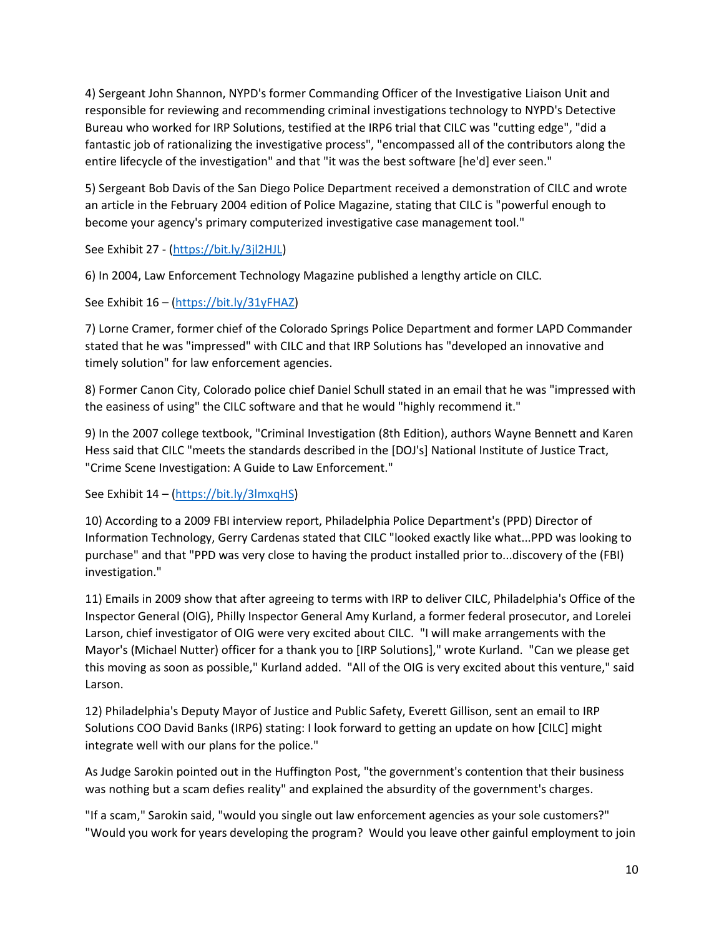4) Sergeant John Shannon, NYPD's former Commanding Officer of the Investigative Liaison Unit and responsible for reviewing and recommending criminal investigations technology to NYPD's Detective Bureau who worked for IRP Solutions, testified at the IRP6 trial that CILC was "cutting edge", "did a fantastic job of rationalizing the investigative process", "encompassed all of the contributors along the entire lifecycle of the investigation" and that "it was the best software [he'd] ever seen."

5) Sergeant Bob Davis of the San Diego Police Department received a demonstration of CILC and wrote an article in the February 2004 edition of Police Magazine, stating that CILC is "powerful enough to become your agency's primary computerized investigative case management tool."

See Exhibit 27 - [\(https://bit.ly/3jl2HJL\)](https://bit.ly/3jl2HJL)

6) In 2004, Law Enforcement Technology Magazine published a lengthy article on CILC.

See Exhibit 16 – [\(https://bit.ly/31yFHAZ\)](https://bit.ly/31yFHAZ)

7) Lorne Cramer, former chief of the Colorado Springs Police Department and former LAPD Commander stated that he was "impressed" with CILC and that IRP Solutions has "developed an innovative and timely solution" for law enforcement agencies.

8) Former Canon City, Colorado police chief Daniel Schull stated in an email that he was "impressed with the easiness of using" the CILC software and that he would "highly recommend it."

9) In the 2007 college textbook, "Criminal Investigation (8th Edition), authors Wayne Bennett and Karen Hess said that CILC "meets the standards described in the [DOJ's] National Institute of Justice Tract, "Crime Scene Investigation: A Guide to Law Enforcement."

See Exhibit 14 – [\(https://bit.ly/3lmxqHS\)](https://bit.ly/3lmxqHS)

10) According to a 2009 FBI interview report, Philadelphia Police Department's (PPD) Director of Information Technology, Gerry Cardenas stated that CILC "looked exactly like what...PPD was looking to purchase" and that "PPD was very close to having the product installed prior to...discovery of the (FBI) investigation."

11) Emails in 2009 show that after agreeing to terms with IRP to deliver CILC, Philadelphia's Office of the Inspector General (OIG), Philly Inspector General Amy Kurland, a former federal prosecutor, and Lorelei Larson, chief investigator of OIG were very excited about CILC. "I will make arrangements with the Mayor's (Michael Nutter) officer for a thank you to [IRP Solutions]," wrote Kurland. "Can we please get this moving as soon as possible," Kurland added. "All of the OIG is very excited about this venture," said Larson.

12) Philadelphia's Deputy Mayor of Justice and Public Safety, Everett Gillison, sent an email to IRP Solutions COO David Banks (IRP6) stating: I look forward to getting an update on how [CILC] might integrate well with our plans for the police."

As Judge Sarokin pointed out in the Huffington Post, "the government's contention that their business was nothing but a scam defies reality" and explained the absurdity of the government's charges.

"If a scam," Sarokin said, "would you single out law enforcement agencies as your sole customers?" "Would you work for years developing the program? Would you leave other gainful employment to join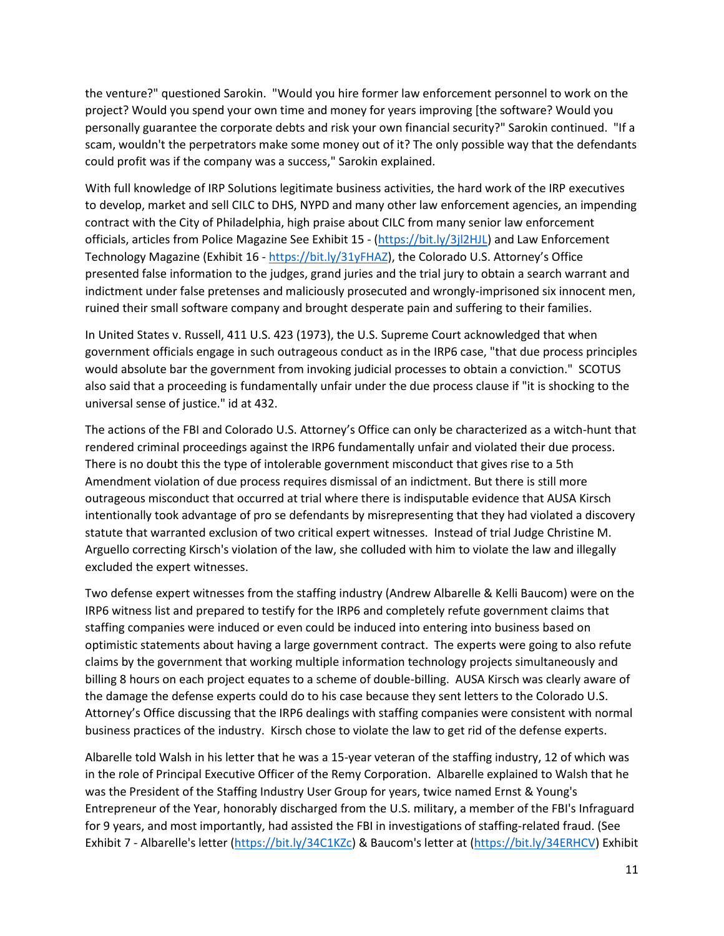the venture?" questioned Sarokin. "Would you hire former law enforcement personnel to work on the project? Would you spend your own time and money for years improving [the software? Would you personally guarantee the corporate debts and risk your own financial security?" Sarokin continued. "If a scam, wouldn't the perpetrators make some money out of it? The only possible way that the defendants could profit was if the company was a success," Sarokin explained.

With full knowledge of IRP Solutions legitimate business activities, the hard work of the IRP executives to develop, market and sell CILC to DHS, NYPD and many other law enforcement agencies, an impending contract with the City of Philadelphia, high praise about CILC from many senior law enforcement officials, articles from Police Magazine See Exhibit 15 - [\(https://bit.ly/3jl2HJL\)](https://bit.ly/3jl2HJL) and Law Enforcement Technology Magazine (Exhibit 16 - [https://bit.ly/31yFHAZ\)](https://bit.ly/31yFHAZ), the Colorado U.S. Attorney's Office presented false information to the judges, grand juries and the trial jury to obtain a search warrant and indictment under false pretenses and maliciously prosecuted and wrongly-imprisoned six innocent men, ruined their small software company and brought desperate pain and suffering to their families.

In United States v. Russell, 411 U.S. 423 (1973), the U.S. Supreme Court acknowledged that when government officials engage in such outrageous conduct as in the IRP6 case, "that due process principles would absolute bar the government from invoking judicial processes to obtain a conviction." SCOTUS also said that a proceeding is fundamentally unfair under the due process clause if "it is shocking to the universal sense of justice." id at 432.

The actions of the FBI and Colorado U.S. Attorney's Office can only be characterized as a witch-hunt that rendered criminal proceedings against the IRP6 fundamentally unfair and violated their due process. There is no doubt this the type of intolerable government misconduct that gives rise to a 5th Amendment violation of due process requires dismissal of an indictment. But there is still more outrageous misconduct that occurred at trial where there is indisputable evidence that AUSA Kirsch intentionally took advantage of pro se defendants by misrepresenting that they had violated a discovery statute that warranted exclusion of two critical expert witnesses. Instead of trial Judge Christine M. Arguello correcting Kirsch's violation of the law, she colluded with him to violate the law and illegally excluded the expert witnesses.

Two defense expert witnesses from the staffing industry (Andrew Albarelle & Kelli Baucom) were on the IRP6 witness list and prepared to testify for the IRP6 and completely refute government claims that staffing companies were induced or even could be induced into entering into business based on optimistic statements about having a large government contract. The experts were going to also refute claims by the government that working multiple information technology projects simultaneously and billing 8 hours on each project equates to a scheme of double-billing. AUSA Kirsch was clearly aware of the damage the defense experts could do to his case because they sent letters to the Colorado U.S. Attorney's Office discussing that the IRP6 dealings with staffing companies were consistent with normal business practices of the industry. Kirsch chose to violate the law to get rid of the defense experts.

Albarelle told Walsh in his letter that he was a 15-year veteran of the staffing industry, 12 of which was in the role of Principal Executive Officer of the Remy Corporation. Albarelle explained to Walsh that he was the President of the Staffing Industry User Group for years, twice named Ernst & Young's Entrepreneur of the Year, honorably discharged from the U.S. military, a member of the FBI's Infraguard for 9 years, and most importantly, had assisted the FBI in investigations of staffing-related fraud. (See Exhibit 7 - Albarelle's letter [\(https://bit.ly/34C1KZc\)](https://bit.ly/34C1KZc) & Baucom's letter at [\(https://bit.ly/34ERHCV\)](https://bit.ly/34ERHCV) Exhibit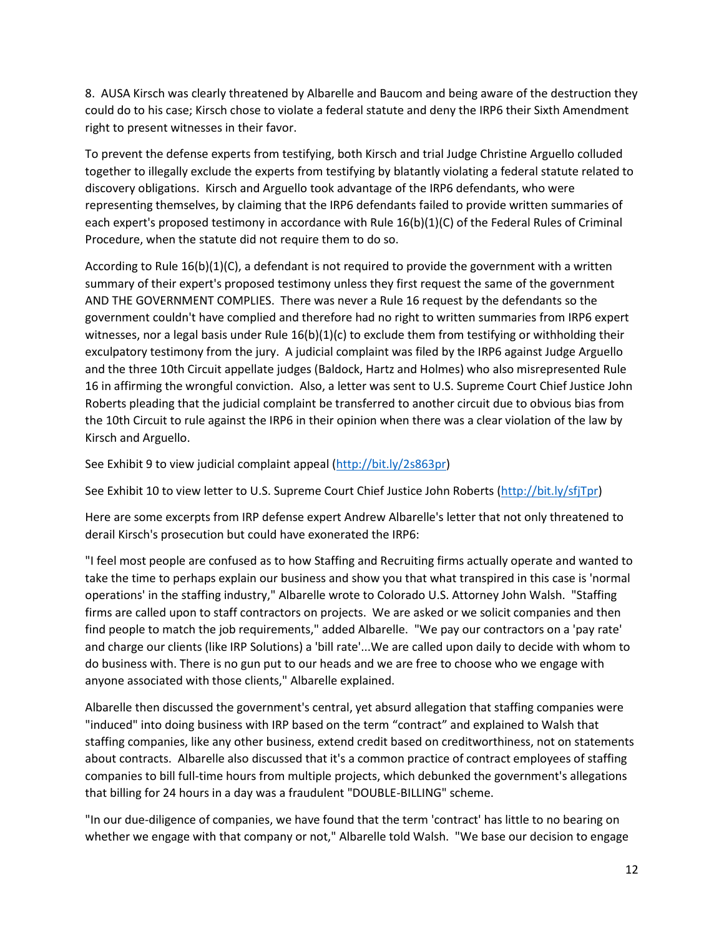8. AUSA Kirsch was clearly threatened by Albarelle and Baucom and being aware of the destruction they could do to his case; Kirsch chose to violate a federal statute and deny the IRP6 their Sixth Amendment right to present witnesses in their favor.

To prevent the defense experts from testifying, both Kirsch and trial Judge Christine Arguello colluded together to illegally exclude the experts from testifying by blatantly violating a federal statute related to discovery obligations. Kirsch and Arguello took advantage of the IRP6 defendants, who were representing themselves, by claiming that the IRP6 defendants failed to provide written summaries of each expert's proposed testimony in accordance with Rule 16(b)(1)(C) of the Federal Rules of Criminal Procedure, when the statute did not require them to do so.

According to Rule  $16(b)(1)(C)$ , a defendant is not required to provide the government with a written summary of their expert's proposed testimony unless they first request the same of the government AND THE GOVERNMENT COMPLIES. There was never a Rule 16 request by the defendants so the government couldn't have complied and therefore had no right to written summaries from IRP6 expert witnesses, nor a legal basis under Rule  $16(b)(1)(c)$  to exclude them from testifying or withholding their exculpatory testimony from the jury. A judicial complaint was filed by the IRP6 against Judge Arguello and the three 10th Circuit appellate judges (Baldock, Hartz and Holmes) who also misrepresented Rule 16 in affirming the wrongful conviction. Also, a letter was sent to U.S. Supreme Court Chief Justice John Roberts pleading that the judicial complaint be transferred to another circuit due to obvious bias from the 10th Circuit to rule against the IRP6 in their opinion when there was a clear violation of the law by Kirsch and Arguello.

See Exhibit 9 to view judicial complaint appeal [\(http://bit.ly/2s863pr\)](http://bit.ly/2s863pr)

See Exhibit 10 to view letter to U.S. Supreme Court Chief Justice John Roberts [\(http://bit.ly/sfjTpr\)](http://bit.ly/sfjTpr)

Here are some excerpts from IRP defense expert Andrew Albarelle's letter that not only threatened to derail Kirsch's prosecution but could have exonerated the IRP6:

"I feel most people are confused as to how Staffing and Recruiting firms actually operate and wanted to take the time to perhaps explain our business and show you that what transpired in this case is 'normal operations' in the staffing industry," Albarelle wrote to Colorado U.S. Attorney John Walsh. "Staffing firms are called upon to staff contractors on projects. We are asked or we solicit companies and then find people to match the job requirements," added Albarelle. "We pay our contractors on a 'pay rate' and charge our clients (like IRP Solutions) a 'bill rate'...We are called upon daily to decide with whom to do business with. There is no gun put to our heads and we are free to choose who we engage with anyone associated with those clients," Albarelle explained.

Albarelle then discussed the government's central, yet absurd allegation that staffing companies were "induced" into doing business with IRP based on the term "contract" and explained to Walsh that staffing companies, like any other business, extend credit based on creditworthiness, not on statements about contracts. Albarelle also discussed that it's a common practice of contract employees of staffing companies to bill full-time hours from multiple projects, which debunked the government's allegations that billing for 24 hours in a day was a fraudulent "DOUBLE-BILLING" scheme.

"In our due-diligence of companies, we have found that the term 'contract' has little to no bearing on whether we engage with that company or not," Albarelle told Walsh. "We base our decision to engage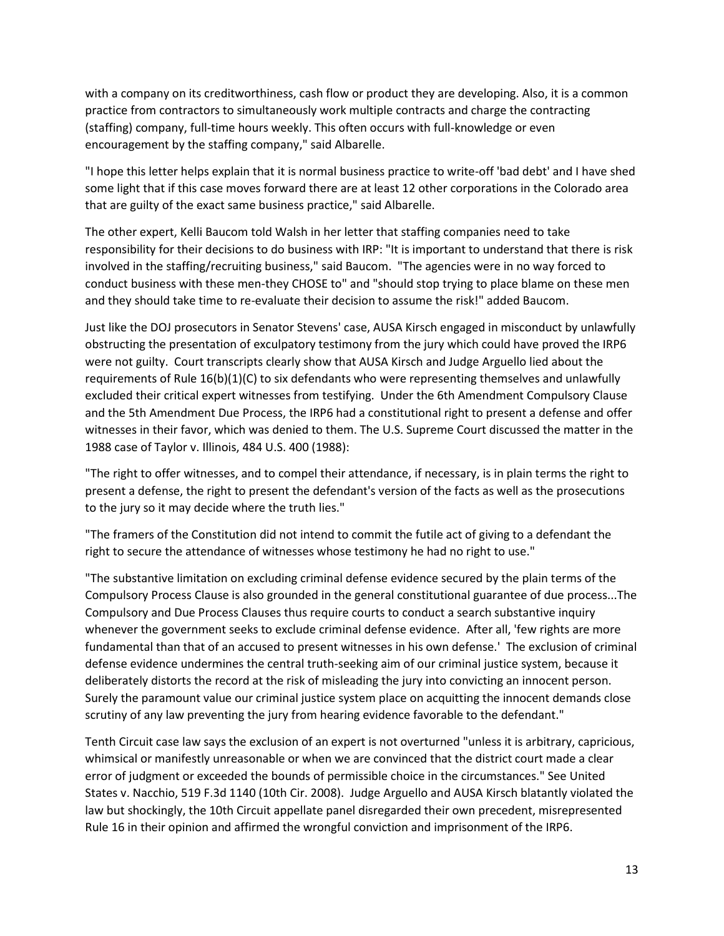with a company on its creditworthiness, cash flow or product they are developing. Also, it is a common practice from contractors to simultaneously work multiple contracts and charge the contracting (staffing) company, full-time hours weekly. This often occurs with full-knowledge or even encouragement by the staffing company," said Albarelle.

"I hope this letter helps explain that it is normal business practice to write-off 'bad debt' and I have shed some light that if this case moves forward there are at least 12 other corporations in the Colorado area that are guilty of the exact same business practice," said Albarelle.

The other expert, Kelli Baucom told Walsh in her letter that staffing companies need to take responsibility for their decisions to do business with IRP: "It is important to understand that there is risk involved in the staffing/recruiting business," said Baucom. "The agencies were in no way forced to conduct business with these men-they CHOSE to" and "should stop trying to place blame on these men and they should take time to re-evaluate their decision to assume the risk!" added Baucom.

Just like the DOJ prosecutors in Senator Stevens' case, AUSA Kirsch engaged in misconduct by unlawfully obstructing the presentation of exculpatory testimony from the jury which could have proved the IRP6 were not guilty. Court transcripts clearly show that AUSA Kirsch and Judge Arguello lied about the requirements of Rule 16(b)(1)(C) to six defendants who were representing themselves and unlawfully excluded their critical expert witnesses from testifying. Under the 6th Amendment Compulsory Clause and the 5th Amendment Due Process, the IRP6 had a constitutional right to present a defense and offer witnesses in their favor, which was denied to them. The U.S. Supreme Court discussed the matter in the 1988 case of Taylor v. Illinois, 484 U.S. 400 (1988):

"The right to offer witnesses, and to compel their attendance, if necessary, is in plain terms the right to present a defense, the right to present the defendant's version of the facts as well as the prosecutions to the jury so it may decide where the truth lies."

"The framers of the Constitution did not intend to commit the futile act of giving to a defendant the right to secure the attendance of witnesses whose testimony he had no right to use."

"The substantive limitation on excluding criminal defense evidence secured by the plain terms of the Compulsory Process Clause is also grounded in the general constitutional guarantee of due process...The Compulsory and Due Process Clauses thus require courts to conduct a search substantive inquiry whenever the government seeks to exclude criminal defense evidence. After all, 'few rights are more fundamental than that of an accused to present witnesses in his own defense.' The exclusion of criminal defense evidence undermines the central truth-seeking aim of our criminal justice system, because it deliberately distorts the record at the risk of misleading the jury into convicting an innocent person. Surely the paramount value our criminal justice system place on acquitting the innocent demands close scrutiny of any law preventing the jury from hearing evidence favorable to the defendant."

Tenth Circuit case law says the exclusion of an expert is not overturned "unless it is arbitrary, capricious, whimsical or manifestly unreasonable or when we are convinced that the district court made a clear error of judgment or exceeded the bounds of permissible choice in the circumstances." See United States v. Nacchio, 519 F.3d 1140 (10th Cir. 2008). Judge Arguello and AUSA Kirsch blatantly violated the law but shockingly, the 10th Circuit appellate panel disregarded their own precedent, misrepresented Rule 16 in their opinion and affirmed the wrongful conviction and imprisonment of the IRP6.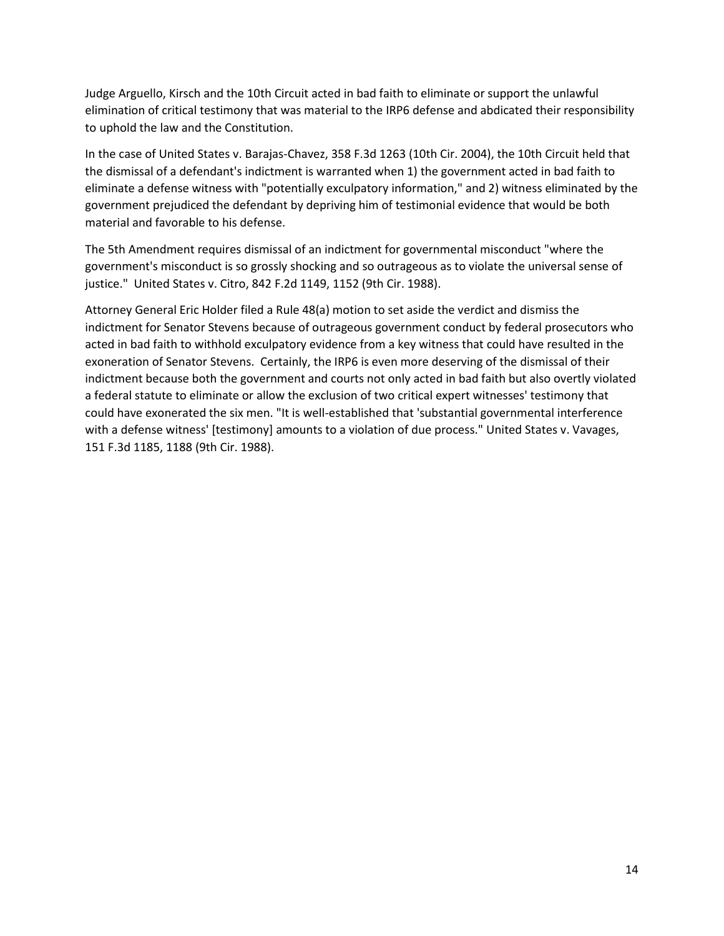Judge Arguello, Kirsch and the 10th Circuit acted in bad faith to eliminate or support the unlawful elimination of critical testimony that was material to the IRP6 defense and abdicated their responsibility to uphold the law and the Constitution.

In the case of United States v. Barajas-Chavez, 358 F.3d 1263 (10th Cir. 2004), the 10th Circuit held that the dismissal of a defendant's indictment is warranted when 1) the government acted in bad faith to eliminate a defense witness with "potentially exculpatory information," and 2) witness eliminated by the government prejudiced the defendant by depriving him of testimonial evidence that would be both material and favorable to his defense.

The 5th Amendment requires dismissal of an indictment for governmental misconduct "where the government's misconduct is so grossly shocking and so outrageous as to violate the universal sense of justice." United States v. Citro, 842 F.2d 1149, 1152 (9th Cir. 1988).

Attorney General Eric Holder filed a Rule 48(a) motion to set aside the verdict and dismiss the indictment for Senator Stevens because of outrageous government conduct by federal prosecutors who acted in bad faith to withhold exculpatory evidence from a key witness that could have resulted in the exoneration of Senator Stevens. Certainly, the IRP6 is even more deserving of the dismissal of their indictment because both the government and courts not only acted in bad faith but also overtly violated a federal statute to eliminate or allow the exclusion of two critical expert witnesses' testimony that could have exonerated the six men. "It is well-established that 'substantial governmental interference with a defense witness' [testimony] amounts to a violation of due process." United States v. Vavages, 151 F.3d 1185, 1188 (9th Cir. 1988).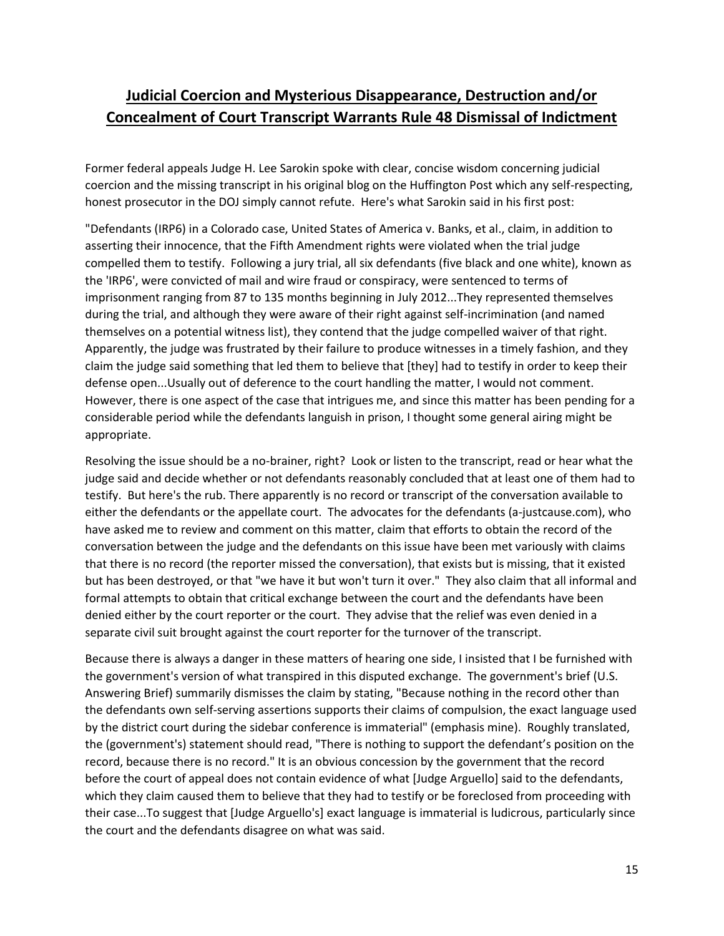## **Judicial Coercion and Mysterious Disappearance, Destruction and/or Concealment of Court Transcript Warrants Rule 48 Dismissal of Indictment**

Former federal appeals Judge H. Lee Sarokin spoke with clear, concise wisdom concerning judicial coercion and the missing transcript in his original blog on the Huffington Post which any self-respecting, honest prosecutor in the DOJ simply cannot refute. Here's what Sarokin said in his first post:

"Defendants (IRP6) in a Colorado case, United States of America v. Banks, et al., claim, in addition to asserting their innocence, that the Fifth Amendment rights were violated when the trial judge compelled them to testify. Following a jury trial, all six defendants (five black and one white), known as the 'IRP6', were convicted of mail and wire fraud or conspiracy, were sentenced to terms of imprisonment ranging from 87 to 135 months beginning in July 2012...They represented themselves during the trial, and although they were aware of their right against self-incrimination (and named themselves on a potential witness list), they contend that the judge compelled waiver of that right. Apparently, the judge was frustrated by their failure to produce witnesses in a timely fashion, and they claim the judge said something that led them to believe that [they] had to testify in order to keep their defense open...Usually out of deference to the court handling the matter, I would not comment. However, there is one aspect of the case that intrigues me, and since this matter has been pending for a considerable period while the defendants languish in prison, I thought some general airing might be appropriate.

Resolving the issue should be a no-brainer, right? Look or listen to the transcript, read or hear what the judge said and decide whether or not defendants reasonably concluded that at least one of them had to testify. But here's the rub. There apparently is no record or transcript of the conversation available to either the defendants or the appellate court. The advocates for the defendants (a-justcause.com), who have asked me to review and comment on this matter, claim that efforts to obtain the record of the conversation between the judge and the defendants on this issue have been met variously with claims that there is no record (the reporter missed the conversation), that exists but is missing, that it existed but has been destroyed, or that "we have it but won't turn it over." They also claim that all informal and formal attempts to obtain that critical exchange between the court and the defendants have been denied either by the court reporter or the court. They advise that the relief was even denied in a separate civil suit brought against the court reporter for the turnover of the transcript.

Because there is always a danger in these matters of hearing one side, I insisted that I be furnished with the government's version of what transpired in this disputed exchange. The government's brief (U.S. Answering Brief) summarily dismisses the claim by stating, "Because nothing in the record other than the defendants own self-serving assertions supports their claims of compulsion, the exact language used by the district court during the sidebar conference is immaterial" (emphasis mine). Roughly translated, the (government's) statement should read, "There is nothing to support the defendant's position on the record, because there is no record." It is an obvious concession by the government that the record before the court of appeal does not contain evidence of what [Judge Arguello] said to the defendants, which they claim caused them to believe that they had to testify or be foreclosed from proceeding with their case...To suggest that [Judge Arguello's] exact language is immaterial is ludicrous, particularly since the court and the defendants disagree on what was said.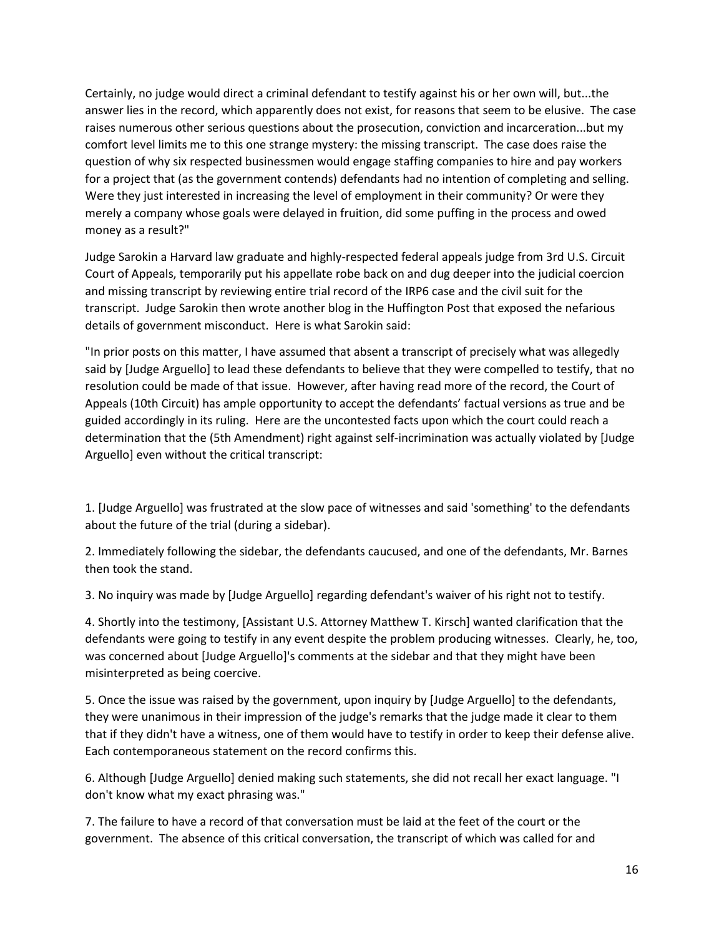Certainly, no judge would direct a criminal defendant to testify against his or her own will, but...the answer lies in the record, which apparently does not exist, for reasons that seem to be elusive. The case raises numerous other serious questions about the prosecution, conviction and incarceration...but my comfort level limits me to this one strange mystery: the missing transcript. The case does raise the question of why six respected businessmen would engage staffing companies to hire and pay workers for a project that (as the government contends) defendants had no intention of completing and selling. Were they just interested in increasing the level of employment in their community? Or were they merely a company whose goals were delayed in fruition, did some puffing in the process and owed money as a result?"

Judge Sarokin a Harvard law graduate and highly-respected federal appeals judge from 3rd U.S. Circuit Court of Appeals, temporarily put his appellate robe back on and dug deeper into the judicial coercion and missing transcript by reviewing entire trial record of the IRP6 case and the civil suit for the transcript. Judge Sarokin then wrote another blog in the Huffington Post that exposed the nefarious details of government misconduct. Here is what Sarokin said:

"In prior posts on this matter, I have assumed that absent a transcript of precisely what was allegedly said by [Judge Arguello] to lead these defendants to believe that they were compelled to testify, that no resolution could be made of that issue. However, after having read more of the record, the Court of Appeals (10th Circuit) has ample opportunity to accept the defendants' factual versions as true and be guided accordingly in its ruling. Here are the uncontested facts upon which the court could reach a determination that the (5th Amendment) right against self-incrimination was actually violated by [Judge Arguello] even without the critical transcript:

1. [Judge Arguello] was frustrated at the slow pace of witnesses and said 'something' to the defendants about the future of the trial (during a sidebar).

2. Immediately following the sidebar, the defendants caucused, and one of the defendants, Mr. Barnes then took the stand.

3. No inquiry was made by [Judge Arguello] regarding defendant's waiver of his right not to testify.

4. Shortly into the testimony, [Assistant U.S. Attorney Matthew T. Kirsch] wanted clarification that the defendants were going to testify in any event despite the problem producing witnesses. Clearly, he, too, was concerned about [Judge Arguello]'s comments at the sidebar and that they might have been misinterpreted as being coercive.

5. Once the issue was raised by the government, upon inquiry by [Judge Arguello] to the defendants, they were unanimous in their impression of the judge's remarks that the judge made it clear to them that if they didn't have a witness, one of them would have to testify in order to keep their defense alive. Each contemporaneous statement on the record confirms this.

6. Although [Judge Arguello] denied making such statements, she did not recall her exact language. "I don't know what my exact phrasing was."

7. The failure to have a record of that conversation must be laid at the feet of the court or the government. The absence of this critical conversation, the transcript of which was called for and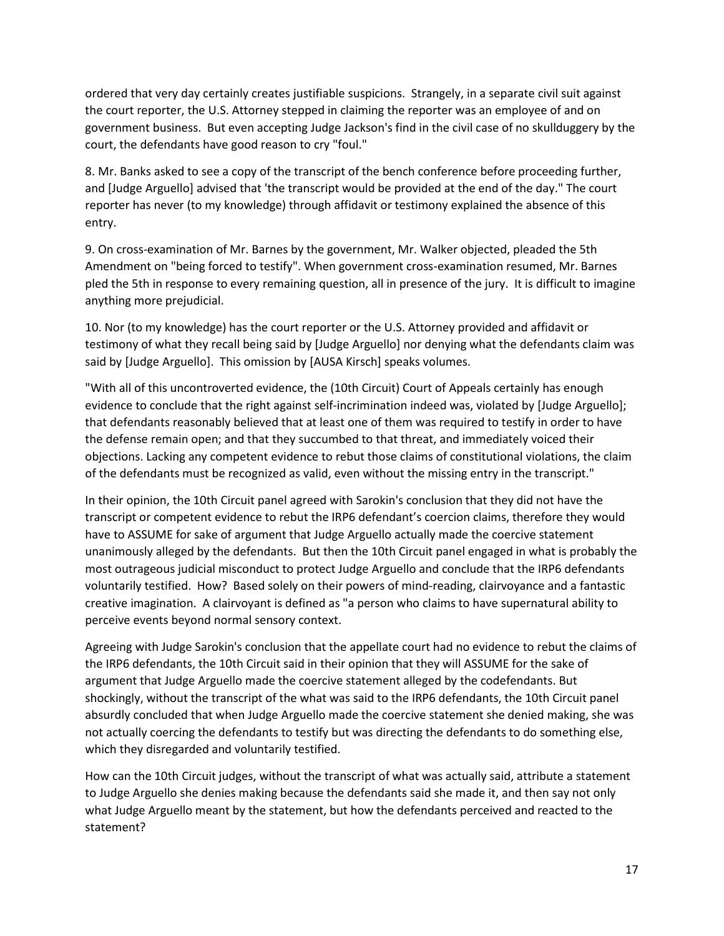ordered that very day certainly creates justifiable suspicions. Strangely, in a separate civil suit against the court reporter, the U.S. Attorney stepped in claiming the reporter was an employee of and on government business. But even accepting Judge Jackson's find in the civil case of no skullduggery by the court, the defendants have good reason to cry "foul."

8. Mr. Banks asked to see a copy of the transcript of the bench conference before proceeding further, and [Judge Arguello] advised that 'the transcript would be provided at the end of the day." The court reporter has never (to my knowledge) through affidavit or testimony explained the absence of this entry.

9. On cross-examination of Mr. Barnes by the government, Mr. Walker objected, pleaded the 5th Amendment on "being forced to testify". When government cross-examination resumed, Mr. Barnes pled the 5th in response to every remaining question, all in presence of the jury. It is difficult to imagine anything more prejudicial.

10. Nor (to my knowledge) has the court reporter or the U.S. Attorney provided and affidavit or testimony of what they recall being said by [Judge Arguello] nor denying what the defendants claim was said by [Judge Arguello]. This omission by [AUSA Kirsch] speaks volumes.

"With all of this uncontroverted evidence, the (10th Circuit) Court of Appeals certainly has enough evidence to conclude that the right against self-incrimination indeed was, violated by [Judge Arguello]; that defendants reasonably believed that at least one of them was required to testify in order to have the defense remain open; and that they succumbed to that threat, and immediately voiced their objections. Lacking any competent evidence to rebut those claims of constitutional violations, the claim of the defendants must be recognized as valid, even without the missing entry in the transcript."

In their opinion, the 10th Circuit panel agreed with Sarokin's conclusion that they did not have the transcript or competent evidence to rebut the IRP6 defendant's coercion claims, therefore they would have to ASSUME for sake of argument that Judge Arguello actually made the coercive statement unanimously alleged by the defendants. But then the 10th Circuit panel engaged in what is probably the most outrageous judicial misconduct to protect Judge Arguello and conclude that the IRP6 defendants voluntarily testified. How? Based solely on their powers of mind-reading, clairvoyance and a fantastic creative imagination. A clairvoyant is defined as "a person who claims to have supernatural ability to perceive events beyond normal sensory context.

Agreeing with Judge Sarokin's conclusion that the appellate court had no evidence to rebut the claims of the IRP6 defendants, the 10th Circuit said in their opinion that they will ASSUME for the sake of argument that Judge Arguello made the coercive statement alleged by the codefendants. But shockingly, without the transcript of the what was said to the IRP6 defendants, the 10th Circuit panel absurdly concluded that when Judge Arguello made the coercive statement she denied making, she was not actually coercing the defendants to testify but was directing the defendants to do something else, which they disregarded and voluntarily testified.

How can the 10th Circuit judges, without the transcript of what was actually said, attribute a statement to Judge Arguello she denies making because the defendants said she made it, and then say not only what Judge Arguello meant by the statement, but how the defendants perceived and reacted to the statement?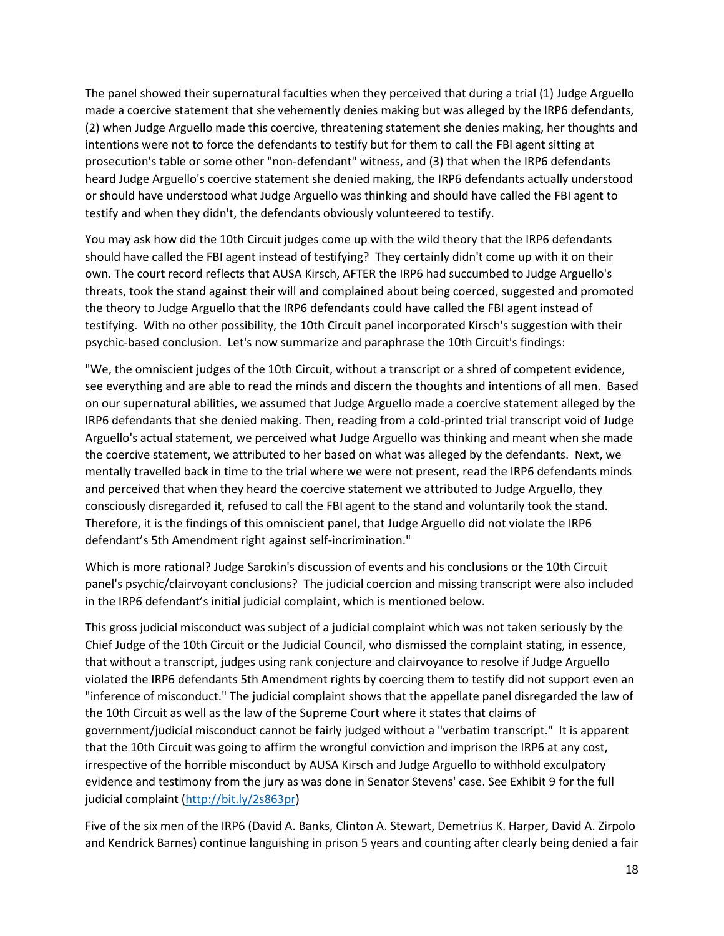The panel showed their supernatural faculties when they perceived that during a trial (1) Judge Arguello made a coercive statement that she vehemently denies making but was alleged by the IRP6 defendants, (2) when Judge Arguello made this coercive, threatening statement she denies making, her thoughts and intentions were not to force the defendants to testify but for them to call the FBI agent sitting at prosecution's table or some other "non-defendant" witness, and (3) that when the IRP6 defendants heard Judge Arguello's coercive statement she denied making, the IRP6 defendants actually understood or should have understood what Judge Arguello was thinking and should have called the FBI agent to testify and when they didn't, the defendants obviously volunteered to testify.

You may ask how did the 10th Circuit judges come up with the wild theory that the IRP6 defendants should have called the FBI agent instead of testifying? They certainly didn't come up with it on their own. The court record reflects that AUSA Kirsch, AFTER the IRP6 had succumbed to Judge Arguello's threats, took the stand against their will and complained about being coerced, suggested and promoted the theory to Judge Arguello that the IRP6 defendants could have called the FBI agent instead of testifying. With no other possibility, the 10th Circuit panel incorporated Kirsch's suggestion with their psychic-based conclusion. Let's now summarize and paraphrase the 10th Circuit's findings:

"We, the omniscient judges of the 10th Circuit, without a transcript or a shred of competent evidence, see everything and are able to read the minds and discern the thoughts and intentions of all men. Based on our supernatural abilities, we assumed that Judge Arguello made a coercive statement alleged by the IRP6 defendants that she denied making. Then, reading from a cold-printed trial transcript void of Judge Arguello's actual statement, we perceived what Judge Arguello was thinking and meant when she made the coercive statement, we attributed to her based on what was alleged by the defendants. Next, we mentally travelled back in time to the trial where we were not present, read the IRP6 defendants minds and perceived that when they heard the coercive statement we attributed to Judge Arguello, they consciously disregarded it, refused to call the FBI agent to the stand and voluntarily took the stand. Therefore, it is the findings of this omniscient panel, that Judge Arguello did not violate the IRP6 defendant's 5th Amendment right against self-incrimination."

Which is more rational? Judge Sarokin's discussion of events and his conclusions or the 10th Circuit panel's psychic/clairvoyant conclusions? The judicial coercion and missing transcript were also included in the IRP6 defendant's initial judicial complaint, which is mentioned below.

This gross judicial misconduct was subject of a judicial complaint which was not taken seriously by the Chief Judge of the 10th Circuit or the Judicial Council, who dismissed the complaint stating, in essence, that without a transcript, judges using rank conjecture and clairvoyance to resolve if Judge Arguello violated the IRP6 defendants 5th Amendment rights by coercing them to testify did not support even an "inference of misconduct." The judicial complaint shows that the appellate panel disregarded the law of the 10th Circuit as well as the law of the Supreme Court where it states that claims of government/judicial misconduct cannot be fairly judged without a "verbatim transcript." It is apparent that the 10th Circuit was going to affirm the wrongful conviction and imprison the IRP6 at any cost, irrespective of the horrible misconduct by AUSA Kirsch and Judge Arguello to withhold exculpatory evidence and testimony from the jury as was done in Senator Stevens' case. See Exhibit 9 for the full judicial complaint [\(http://bit.ly/2s863pr\)](http://bit.ly/2s863pr)

Five of the six men of the IRP6 (David A. Banks, Clinton A. Stewart, Demetrius K. Harper, David A. Zirpolo and Kendrick Barnes) continue languishing in prison 5 years and counting after clearly being denied a fair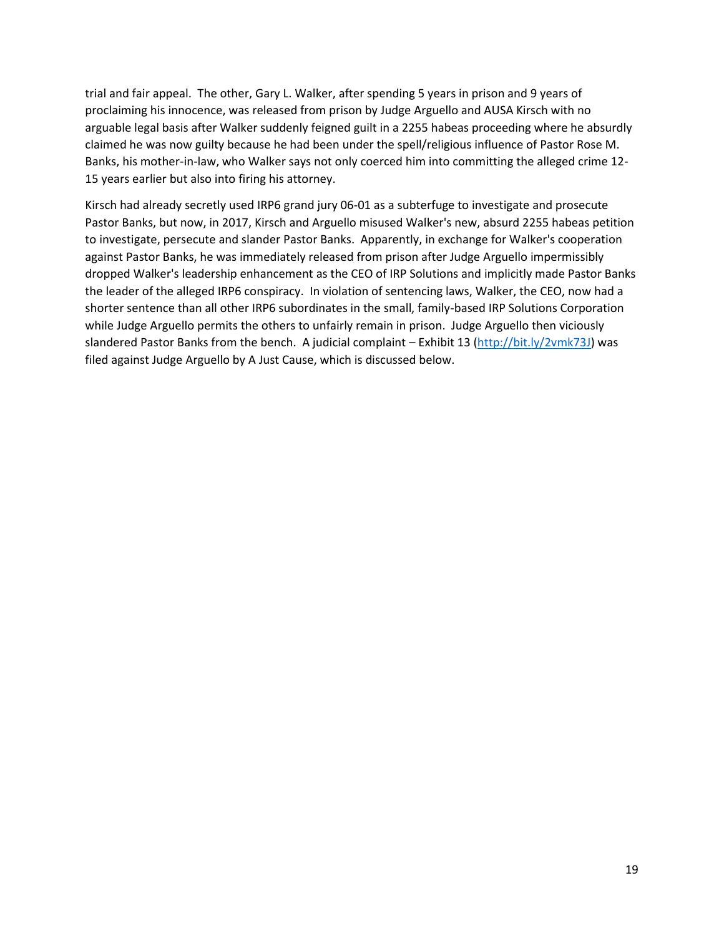trial and fair appeal. The other, Gary L. Walker, after spending 5 years in prison and 9 years of proclaiming his innocence, was released from prison by Judge Arguello and AUSA Kirsch with no arguable legal basis after Walker suddenly feigned guilt in a 2255 habeas proceeding where he absurdly claimed he was now guilty because he had been under the spell/religious influence of Pastor Rose M. Banks, his mother-in-law, who Walker says not only coerced him into committing the alleged crime 12- 15 years earlier but also into firing his attorney.

Kirsch had already secretly used IRP6 grand jury 06-01 as a subterfuge to investigate and prosecute Pastor Banks, but now, in 2017, Kirsch and Arguello misused Walker's new, absurd 2255 habeas petition to investigate, persecute and slander Pastor Banks. Apparently, in exchange for Walker's cooperation against Pastor Banks, he was immediately released from prison after Judge Arguello impermissibly dropped Walker's leadership enhancement as the CEO of IRP Solutions and implicitly made Pastor Banks the leader of the alleged IRP6 conspiracy. In violation of sentencing laws, Walker, the CEO, now had a shorter sentence than all other IRP6 subordinates in the small, family-based IRP Solutions Corporation while Judge Arguello permits the others to unfairly remain in prison. Judge Arguello then viciously slandered Pastor Banks from the bench. A judicial complaint – Exhibit 13 [\(http://bit.ly/2vmk73J\)](http://bit.ly/2vmk73J) was filed against Judge Arguello by A Just Cause, which is discussed below.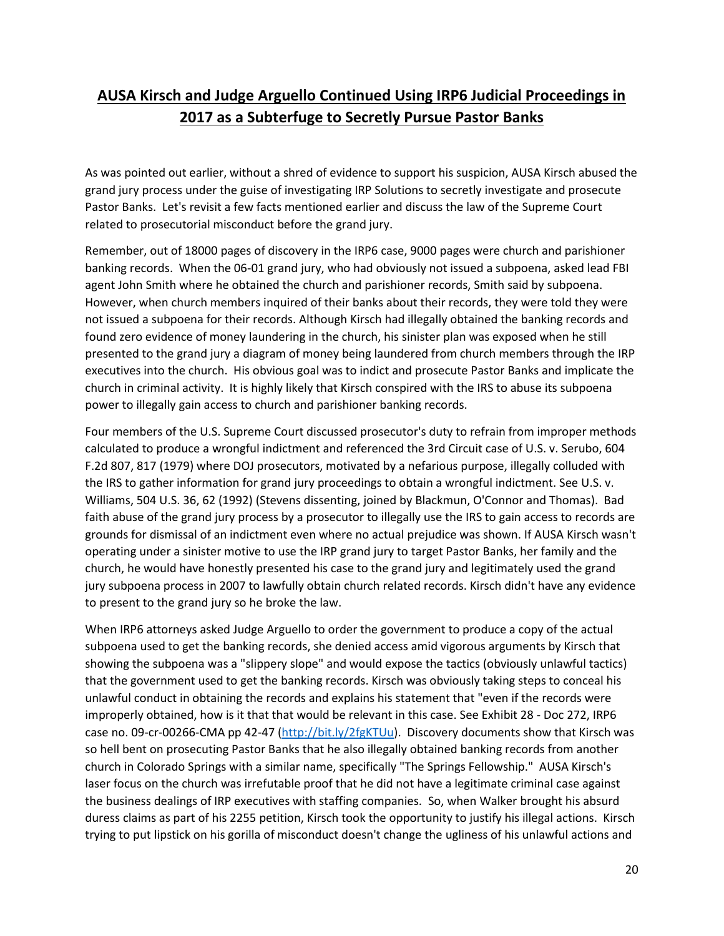## **AUSA Kirsch and Judge Arguello Continued Using IRP6 Judicial Proceedings in 2017 as a Subterfuge to Secretly Pursue Pastor Banks**

As was pointed out earlier, without a shred of evidence to support his suspicion, AUSA Kirsch abused the grand jury process under the guise of investigating IRP Solutions to secretly investigate and prosecute Pastor Banks. Let's revisit a few facts mentioned earlier and discuss the law of the Supreme Court related to prosecutorial misconduct before the grand jury.

Remember, out of 18000 pages of discovery in the IRP6 case, 9000 pages were church and parishioner banking records. When the 06-01 grand jury, who had obviously not issued a subpoena, asked lead FBI agent John Smith where he obtained the church and parishioner records, Smith said by subpoena. However, when church members inquired of their banks about their records, they were told they were not issued a subpoena for their records. Although Kirsch had illegally obtained the banking records and found zero evidence of money laundering in the church, his sinister plan was exposed when he still presented to the grand jury a diagram of money being laundered from church members through the IRP executives into the church. His obvious goal was to indict and prosecute Pastor Banks and implicate the church in criminal activity. It is highly likely that Kirsch conspired with the IRS to abuse its subpoena power to illegally gain access to church and parishioner banking records.

Four members of the U.S. Supreme Court discussed prosecutor's duty to refrain from improper methods calculated to produce a wrongful indictment and referenced the 3rd Circuit case of U.S. v. Serubo, 604 F.2d 807, 817 (1979) where DOJ prosecutors, motivated by a nefarious purpose, illegally colluded with the IRS to gather information for grand jury proceedings to obtain a wrongful indictment. See U.S. v. Williams, 504 U.S. 36, 62 (1992) (Stevens dissenting, joined by Blackmun, O'Connor and Thomas). Bad faith abuse of the grand jury process by a prosecutor to illegally use the IRS to gain access to records are grounds for dismissal of an indictment even where no actual prejudice was shown. If AUSA Kirsch wasn't operating under a sinister motive to use the IRP grand jury to target Pastor Banks, her family and the church, he would have honestly presented his case to the grand jury and legitimately used the grand jury subpoena process in 2007 to lawfully obtain church related records. Kirsch didn't have any evidence to present to the grand jury so he broke the law.

When IRP6 attorneys asked Judge Arguello to order the government to produce a copy of the actual subpoena used to get the banking records, she denied access amid vigorous arguments by Kirsch that showing the subpoena was a "slippery slope" and would expose the tactics (obviously unlawful tactics) that the government used to get the banking records. Kirsch was obviously taking steps to conceal his unlawful conduct in obtaining the records and explains his statement that "even if the records were improperly obtained, how is it that that would be relevant in this case. See Exhibit 28 - Doc 272, IRP6 case no. 09-cr-00266-CMA pp 42-47 [\(http://bit.ly/2fgKTUu\)](http://bit.ly/2fgKTUu). Discovery documents show that Kirsch was so hell bent on prosecuting Pastor Banks that he also illegally obtained banking records from another church in Colorado Springs with a similar name, specifically "The Springs Fellowship." AUSA Kirsch's laser focus on the church was irrefutable proof that he did not have a legitimate criminal case against the business dealings of IRP executives with staffing companies. So, when Walker brought his absurd duress claims as part of his 2255 petition, Kirsch took the opportunity to justify his illegal actions. Kirsch trying to put lipstick on his gorilla of misconduct doesn't change the ugliness of his unlawful actions and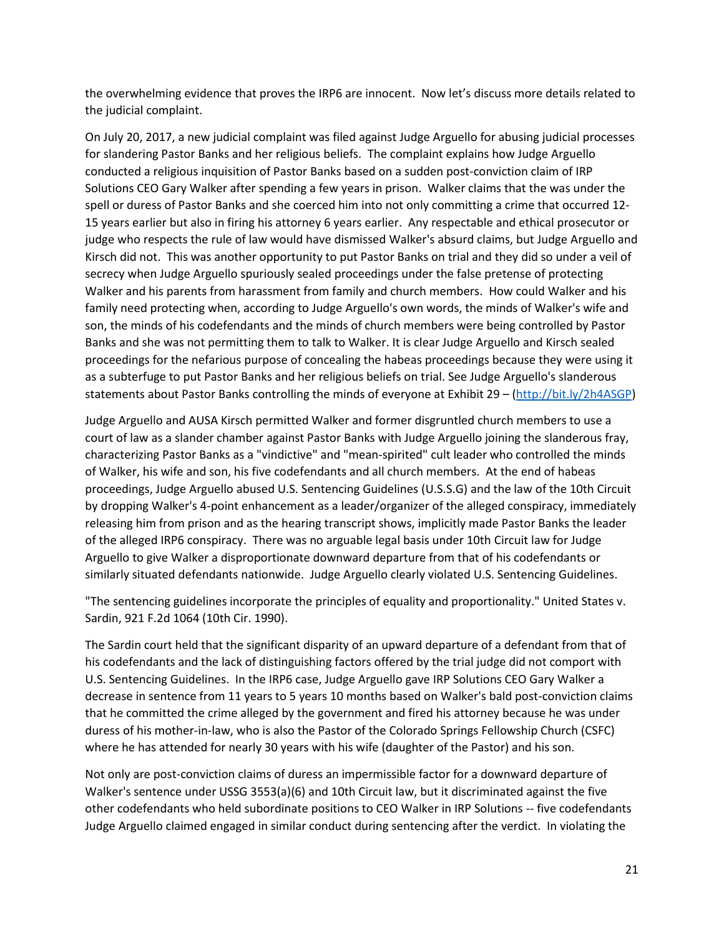the overwhelming evidence that proves the IRP6 are innocent. Now let's discuss more details related to the judicial complaint.

On July 20, 2017, a new judicial complaint was filed against Judge Arguello for abusing judicial processes for slandering Pastor Banks and her religious beliefs. The complaint explains how Judge Arguello conducted a religious inquisition of Pastor Banks based on a sudden post-conviction claim of IRP Solutions CEO Gary Walker after spending a few years in prison. Walker claims that the was under the spell or duress of Pastor Banks and she coerced him into not only committing a crime that occurred 12- 15 years earlier but also in firing his attorney 6 years earlier. Any respectable and ethical prosecutor or judge who respects the rule of law would have dismissed Walker's absurd claims, but Judge Arguello and Kirsch did not. This was another opportunity to put Pastor Banks on trial and they did so under a veil of secrecy when Judge Arguello spuriously sealed proceedings under the false pretense of protecting Walker and his parents from harassment from family and church members. How could Walker and his family need protecting when, according to Judge Arguello's own words, the minds of Walker's wife and son, the minds of his codefendants and the minds of church members were being controlled by Pastor Banks and she was not permitting them to talk to Walker. It is clear Judge Arguello and Kirsch sealed proceedings for the nefarious purpose of concealing the habeas proceedings because they were using it as a subterfuge to put Pastor Banks and her religious beliefs on trial. See Judge Arguello's slanderous statements about Pastor Banks controlling the minds of everyone at Exhibit 29 – [\(http://bit.ly/2h4ASGP\)](http://bit.ly/2h4ASGP)

Judge Arguello and AUSA Kirsch permitted Walker and former disgruntled church members to use a court of law as a slander chamber against Pastor Banks with Judge Arguello joining the slanderous fray, characterizing Pastor Banks as a "vindictive" and "mean-spirited" cult leader who controlled the minds of Walker, his wife and son, his five codefendants and all church members. At the end of habeas proceedings, Judge Arguello abused U.S. Sentencing Guidelines (U.S.S.G) and the law of the 10th Circuit by dropping Walker's 4-point enhancement as a leader/organizer of the alleged conspiracy, immediately releasing him from prison and as the hearing transcript shows, implicitly made Pastor Banks the leader of the alleged IRP6 conspiracy. There was no arguable legal basis under 10th Circuit law for Judge Arguello to give Walker a disproportionate downward departure from that of his codefendants or similarly situated defendants nationwide. Judge Arguello clearly violated U.S. Sentencing Guidelines.

"The sentencing guidelines incorporate the principles of equality and proportionality." United States v. Sardin, 921 F.2d 1064 (10th Cir. 1990).

The Sardin court held that the significant disparity of an upward departure of a defendant from that of his codefendants and the lack of distinguishing factors offered by the trial judge did not comport with U.S. Sentencing Guidelines. In the IRP6 case, Judge Arguello gave IRP Solutions CEO Gary Walker a decrease in sentence from 11 years to 5 years 10 months based on Walker's bald post-conviction claims that he committed the crime alleged by the government and fired his attorney because he was under duress of his mother-in-law, who is also the Pastor of the Colorado Springs Fellowship Church (CSFC) where he has attended for nearly 30 years with his wife (daughter of the Pastor) and his son.

Not only are post-conviction claims of duress an impermissible factor for a downward departure of Walker's sentence under USSG 3553(a)(6) and 10th Circuit law, but it discriminated against the five other codefendants who held subordinate positions to CEO Walker in IRP Solutions -- five codefendants Judge Arguello claimed engaged in similar conduct during sentencing after the verdict. In violating the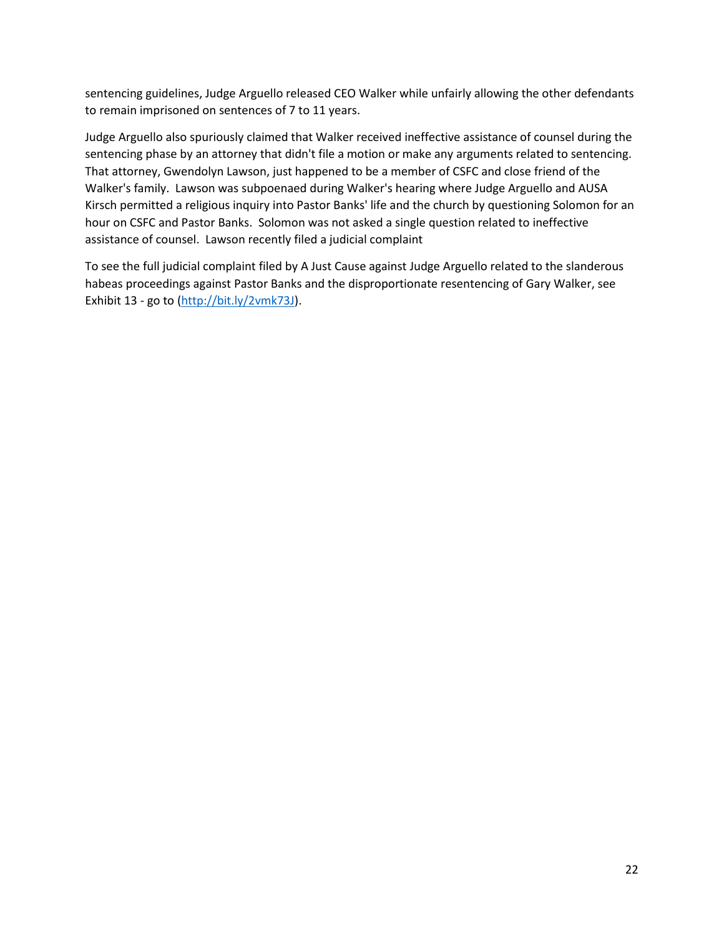sentencing guidelines, Judge Arguello released CEO Walker while unfairly allowing the other defendants to remain imprisoned on sentences of 7 to 11 years.

Judge Arguello also spuriously claimed that Walker received ineffective assistance of counsel during the sentencing phase by an attorney that didn't file a motion or make any arguments related to sentencing. That attorney, Gwendolyn Lawson, just happened to be a member of CSFC and close friend of the Walker's family. Lawson was subpoenaed during Walker's hearing where Judge Arguello and AUSA Kirsch permitted a religious inquiry into Pastor Banks' life and the church by questioning Solomon for an hour on CSFC and Pastor Banks. Solomon was not asked a single question related to ineffective assistance of counsel. Lawson recently filed a judicial complaint

To see the full judicial complaint filed by A Just Cause against Judge Arguello related to the slanderous habeas proceedings against Pastor Banks and the disproportionate resentencing of Gary Walker, see Exhibit 13 - go to [\(http://bit.ly/2vmk73J\)](http://bit.ly/2vmk73J).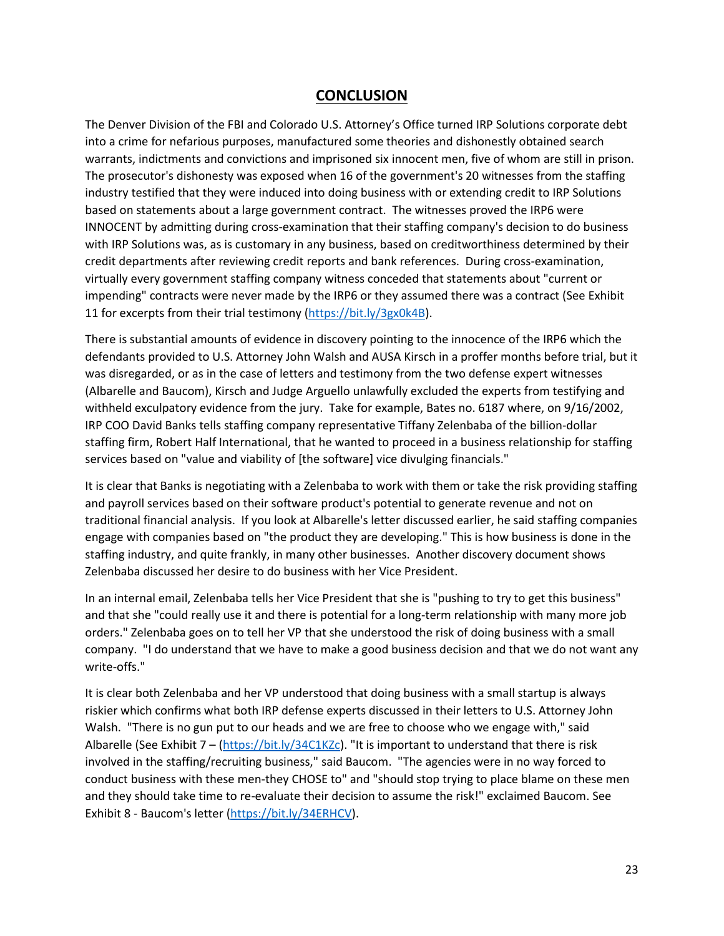### **CONCLUSION**

The Denver Division of the FBI and Colorado U.S. Attorney's Office turned IRP Solutions corporate debt into a crime for nefarious purposes, manufactured some theories and dishonestly obtained search warrants, indictments and convictions and imprisoned six innocent men, five of whom are still in prison. The prosecutor's dishonesty was exposed when 16 of the government's 20 witnesses from the staffing industry testified that they were induced into doing business with or extending credit to IRP Solutions based on statements about a large government contract. The witnesses proved the IRP6 were INNOCENT by admitting during cross-examination that their staffing company's decision to do business with IRP Solutions was, as is customary in any business, based on creditworthiness determined by their credit departments after reviewing credit reports and bank references. During cross-examination, virtually every government staffing company witness conceded that statements about "current or impending" contracts were never made by the IRP6 or they assumed there was a contract (See Exhibit 11 for excerpts from their trial testimony [\(https://bit.ly/3gx0k4B\)](https://bit.ly/3gx0k4B).

There is substantial amounts of evidence in discovery pointing to the innocence of the IRP6 which the defendants provided to U.S. Attorney John Walsh and AUSA Kirsch in a proffer months before trial, but it was disregarded, or as in the case of letters and testimony from the two defense expert witnesses (Albarelle and Baucom), Kirsch and Judge Arguello unlawfully excluded the experts from testifying and withheld exculpatory evidence from the jury. Take for example, Bates no. 6187 where, on 9/16/2002, IRP COO David Banks tells staffing company representative Tiffany Zelenbaba of the billion-dollar staffing firm, Robert Half International, that he wanted to proceed in a business relationship for staffing services based on "value and viability of [the software] vice divulging financials."

It is clear that Banks is negotiating with a Zelenbaba to work with them or take the risk providing staffing and payroll services based on their software product's potential to generate revenue and not on traditional financial analysis. If you look at Albarelle's letter discussed earlier, he said staffing companies engage with companies based on "the product they are developing." This is how business is done in the staffing industry, and quite frankly, in many other businesses. Another discovery document shows Zelenbaba discussed her desire to do business with her Vice President.

In an internal email, Zelenbaba tells her Vice President that she is "pushing to try to get this business" and that she "could really use it and there is potential for a long-term relationship with many more job orders." Zelenbaba goes on to tell her VP that she understood the risk of doing business with a small company. "I do understand that we have to make a good business decision and that we do not want any write-offs."

It is clear both Zelenbaba and her VP understood that doing business with a small startup is always riskier which confirms what both IRP defense experts discussed in their letters to U.S. Attorney John Walsh. "There is no gun put to our heads and we are free to choose who we engage with," said Albarelle (See Exhibit  $7 - (https://bit.ly/34C1KZc)$  $7 - (https://bit.ly/34C1KZc)$ . "It is important to understand that there is risk involved in the staffing/recruiting business," said Baucom. "The agencies were in no way forced to conduct business with these men-they CHOSE to" and "should stop trying to place blame on these men and they should take time to re-evaluate their decision to assume the risk!" exclaimed Baucom. See Exhibit 8 - Baucom's letter [\(https://bit.ly/34ERHCV\)](https://bit.ly/34ERHCV).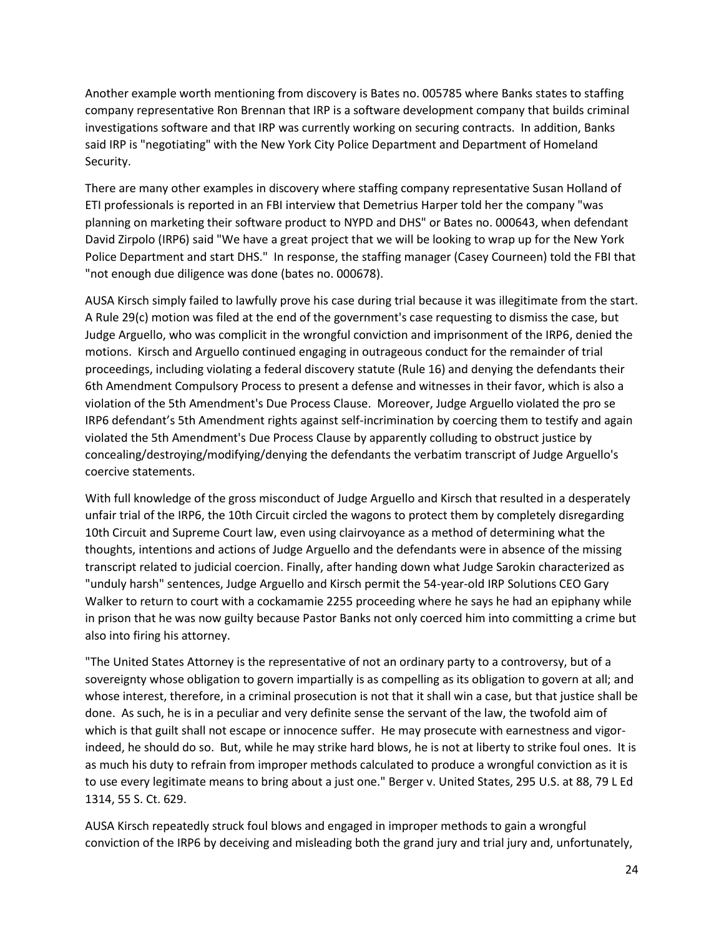Another example worth mentioning from discovery is Bates no. 005785 where Banks states to staffing company representative Ron Brennan that IRP is a software development company that builds criminal investigations software and that IRP was currently working on securing contracts. In addition, Banks said IRP is "negotiating" with the New York City Police Department and Department of Homeland Security.

There are many other examples in discovery where staffing company representative Susan Holland of ETI professionals is reported in an FBI interview that Demetrius Harper told her the company "was planning on marketing their software product to NYPD and DHS" or Bates no. 000643, when defendant David Zirpolo (IRP6) said "We have a great project that we will be looking to wrap up for the New York Police Department and start DHS." In response, the staffing manager (Casey Courneen) told the FBI that "not enough due diligence was done (bates no. 000678).

AUSA Kirsch simply failed to lawfully prove his case during trial because it was illegitimate from the start. A Rule 29(c) motion was filed at the end of the government's case requesting to dismiss the case, but Judge Arguello, who was complicit in the wrongful conviction and imprisonment of the IRP6, denied the motions. Kirsch and Arguello continued engaging in outrageous conduct for the remainder of trial proceedings, including violating a federal discovery statute (Rule 16) and denying the defendants their 6th Amendment Compulsory Process to present a defense and witnesses in their favor, which is also a violation of the 5th Amendment's Due Process Clause. Moreover, Judge Arguello violated the pro se IRP6 defendant's 5th Amendment rights against self-incrimination by coercing them to testify and again violated the 5th Amendment's Due Process Clause by apparently colluding to obstruct justice by concealing/destroying/modifying/denying the defendants the verbatim transcript of Judge Arguello's coercive statements.

With full knowledge of the gross misconduct of Judge Arguello and Kirsch that resulted in a desperately unfair trial of the IRP6, the 10th Circuit circled the wagons to protect them by completely disregarding 10th Circuit and Supreme Court law, even using clairvoyance as a method of determining what the thoughts, intentions and actions of Judge Arguello and the defendants were in absence of the missing transcript related to judicial coercion. Finally, after handing down what Judge Sarokin characterized as "unduly harsh" sentences, Judge Arguello and Kirsch permit the 54-year-old IRP Solutions CEO Gary Walker to return to court with a cockamamie 2255 proceeding where he says he had an epiphany while in prison that he was now guilty because Pastor Banks not only coerced him into committing a crime but also into firing his attorney.

"The United States Attorney is the representative of not an ordinary party to a controversy, but of a sovereignty whose obligation to govern impartially is as compelling as its obligation to govern at all; and whose interest, therefore, in a criminal prosecution is not that it shall win a case, but that justice shall be done. As such, he is in a peculiar and very definite sense the servant of the law, the twofold aim of which is that guilt shall not escape or innocence suffer. He may prosecute with earnestness and vigorindeed, he should do so. But, while he may strike hard blows, he is not at liberty to strike foul ones. It is as much his duty to refrain from improper methods calculated to produce a wrongful conviction as it is to use every legitimate means to bring about a just one." Berger v. United States, 295 U.S. at 88, 79 L Ed 1314, 55 S. Ct. 629.

AUSA Kirsch repeatedly struck foul blows and engaged in improper methods to gain a wrongful conviction of the IRP6 by deceiving and misleading both the grand jury and trial jury and, unfortunately,